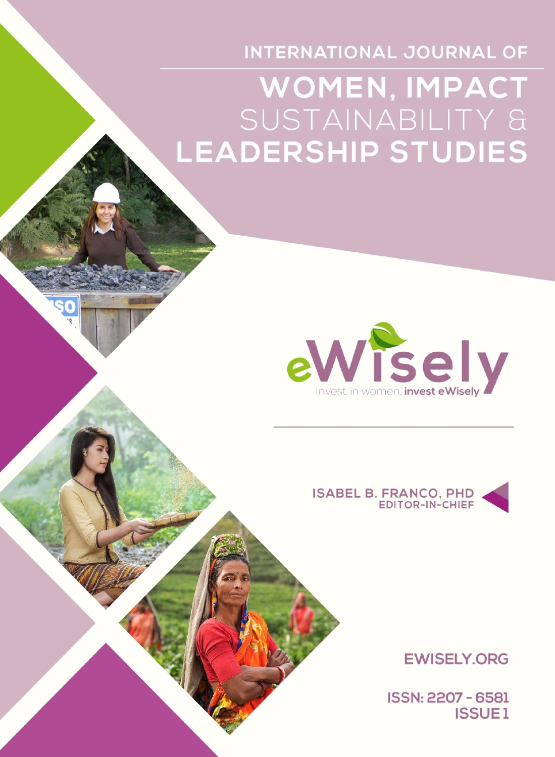INTERNATIONAL JOURNAL OF

# **WOMEN, IMPACT** SUSTAINABILITY & **LEADERSHIP STUDIES**





**EWISELY, ORG** 

ISSN: 2207 - 6581 **ISSUE1**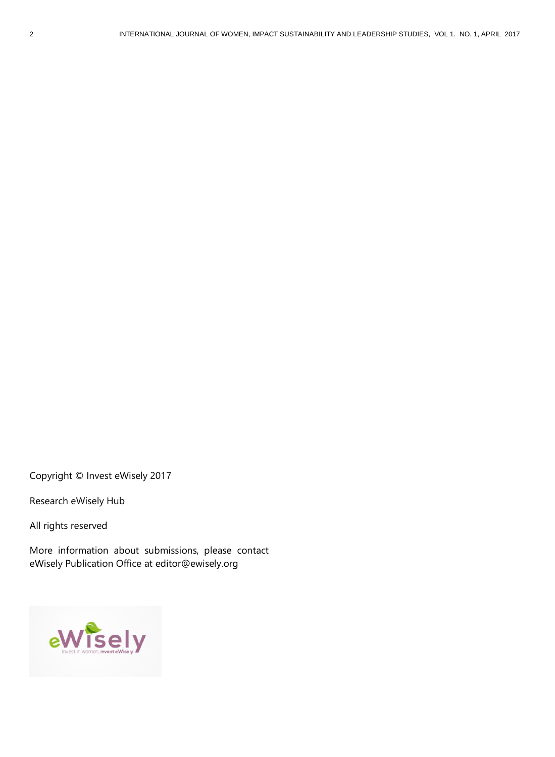Copyright © Invest eWisely 2017

Research eWisely Hub

All rights reserved

More information about submissions, please contact eWisely Publication Office at [editor@ewisely.org](mailto:editor@ewisely.com)

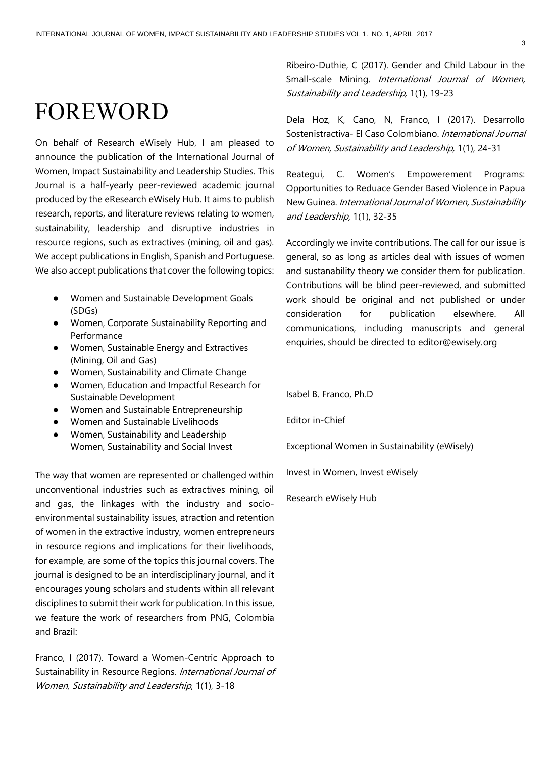## FOREWORD

On behalf of Research eWisely Hub, I am pleased to announce the publication of the International Journal of Women, Impact Sustainability and Leadership Studies. This Journal is a half-yearly peer-reviewed academic journal produced by the eResearch eWisely Hub. It aims to publish research, reports, and literature reviews relating to women, sustainability, leadership and disruptive industries in resource regions, such as extractives (mining, oil and gas). We accept publications in English, Spanish and Portuguese. We also accept publications that cover the following topics:

- Women and Sustainable Development Goals (SDGs)
- Women, Corporate Sustainability Reporting and Performance
- Women, Sustainable Energy and Extractives (Mining, Oil and Gas)
- Women, Sustainability and Climate Change
- Women, Education and Impactful Research for Sustainable Development
- Women and Sustainable Entrepreneurship
- Women and Sustainable Livelihoods
- Women, Sustainability and Leadership Women, Sustainability and Social Invest

The way that women are represented or challenged within unconventional industries such as extractives mining, oil and gas, the linkages with the industry and socioenvironmental sustainability issues, atraction and retention of women in the extractive industry, women entrepreneurs in resource regions and implications for their livelihoods, for example, are some of the topics this journal covers. The journal is designed to be an interdisciplinary journal, and it encourages young scholars and students within all relevant disciplines to submit their work for publication. In this issue, we feature the work of researchers from PNG, Colombia and Brazil:

Franco, I (2017). Toward a Women-Centric Approach to Sustainability in Resource Regions. International Journal of Women, Sustainability and Leadership, 1(1), 3-18

Ribeiro-Duthie, C (2017). Gender and Child Labour in the Small-scale Mining. International Journal of Women, Sustainability and Leadership, 1(1), 19-23

Dela Hoz, K, Cano, N, Franco, I (2017). Desarrollo Sostenistractiva- El Caso Colombiano. International Journal of Women, Sustainability and Leadership, 1(1), 24-31

Reategui, C. Women's Empowerement Programs: Opportunities to Reduace Gender Based Violence in Papua New Guinea. International Journal of Women, Sustainability and Leadership, 1(1), 32-35

Accordingly we invite contributions. The call for our issue is general, so as long as articles deal with issues of women and sustanability theory we consider them for publication. Contributions will be blind peer-reviewed, and submitted work should be original and not published or under consideration for publication elsewhere. All communications, including manuscripts and general enquiries, should be directed to editor@ewisely.org

Isabel B. Franco, Ph.D

Editor in-Chief

Exceptional Women in Sustainability (eWisely)

Invest in Women, Invest eWisely

Research eWisely Hub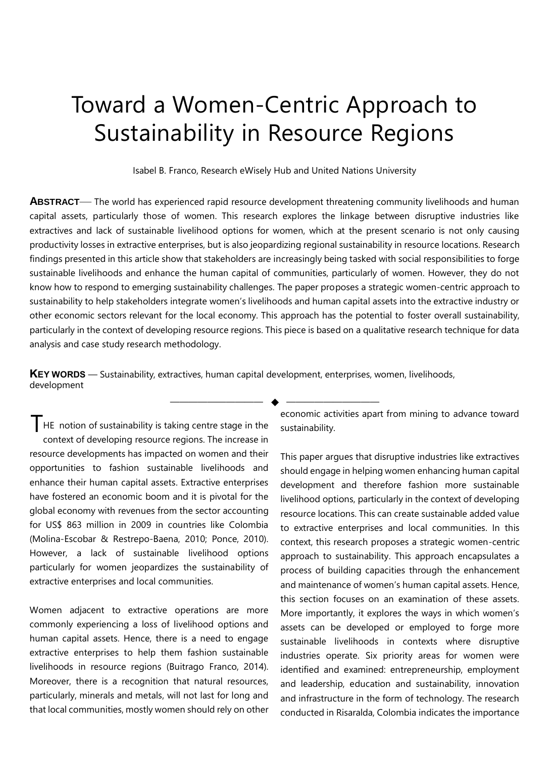## Toward a Women-Centric Approach to Sustainability in Resource Regions

Isabel B. Franco, Research eWisely Hub and United Nations University

**ABSTRACT**— The world has experienced rapid resource development threatening community livelihoods and human capital assets, particularly those of women. This research explores the linkage between disruptive industries like extractives and lack of sustainable livelihood options for women, which at the present scenario is not only causing productivity losses in extractive enterprises, but is also jeopardizing regional sustainability in resource locations. Research findings presented in this article show that stakeholders are increasingly being tasked with social responsibilities to forge sustainable livelihoods and enhance the human capital of communities, particularly of women. However, they do not know how to respond to emerging sustainability challenges. The paper proposes a strategic women-centric approach to sustainability to help stakeholders integrate women's livelihoods and human capital assets into the extractive industry or other economic sectors relevant for the local economy. This approach has the potential to foster overall sustainability, particularly in the context of developing resource regions. This piece is based on a qualitative research technique for data analysis and case study research methodology.

—————————— ◆ ——————————

**KEY WORDS** — Sustainability, extractives, human capital development, enterprises, women, livelihoods, development

**T**HE notion of sustainability is taking centre stage in the context of developing resource regions. The increase in resource developments has impacted on women and their opportunities to fashion sustainable livelihoods and enhance their human capital assets. Extractive enterprises have fostered an economic boom and it is pivotal for the global economy with revenues from the sector accounting for US\$ 863 million in 2009 in countries like Colombia (Molina-Escobar & Restrepo-Baena, 2010; Ponce, 2010). However, a lack of sustainable livelihood options particularly for women jeopardizes the sustainability of extractive enterprises and local communities.

Women adjacent to extractive operations are more commonly experiencing a loss of livelihood options and human capital assets. Hence, there is a need to engage extractive enterprises to help them fashion sustainable livelihoods in resource regions (Buitrago Franco, 2014). Moreover, there is a recognition that natural resources, particularly, minerals and metals, will not last for long and that local communities, mostly women should rely on other economic activities apart from mining to advance toward sustainability.

This paper argues that disruptive industries like extractives should engage in helping women enhancing human capital development and therefore fashion more sustainable livelihood options, particularly in the context of developing resource locations. This can create sustainable added value to extractive enterprises and local communities. In this context, this research proposes a strategic women-centric approach to sustainability. This approach encapsulates a process of building capacities through the enhancement and maintenance of women's human capital assets. Hence, this section focuses on an examination of these assets. More importantly, it explores the ways in which women's assets can be developed or employed to forge more sustainable livelihoods in contexts where disruptive industries operate. Six priority areas for women were identified and examined: entrepreneurship, employment and leadership, education and sustainability, innovation and infrastructure in the form of technology. The research conducted in Risaralda, Colombia indicates the importance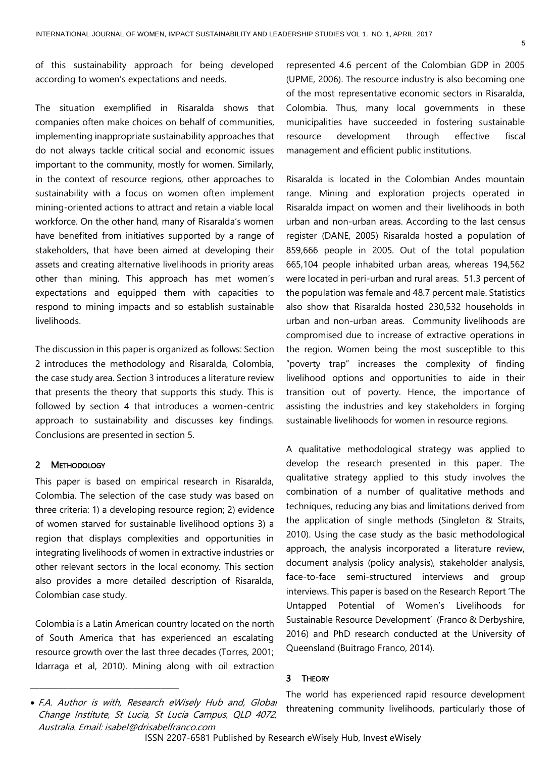of this sustainability approach for being developed according to women's expectations and needs.

The situation exemplified in Risaralda shows that companies often make choices on behalf of communities, implementing inappropriate sustainability approaches that do not always tackle critical social and economic issues important to the community, mostly for women. Similarly, in the context of resource regions, other approaches to sustainability with a focus on women often implement mining-oriented actions to attract and retain a viable local workforce. On the other hand, many of Risaralda's women have benefited from initiatives supported by a range of stakeholders, that have been aimed at developing their assets and creating alternative livelihoods in priority areas other than mining. This approach has met women's expectations and equipped them with capacities to respond to mining impacts and so establish sustainable livelihoods.

The discussion in this paper is organized as follows: Section 2 introduces the methodology and Risaralda, Colombia, the case study area. Section 3 introduces a literature review that presents the theory that supports this study. This is followed by section 4 that introduces a women-centric approach to sustainability and discusses key findings. Conclusions are presented in section 5.

#### 2 METHODOLOGY

This paper is based on empirical research in Risaralda, Colombia. The selection of the case study was based on three criteria: 1) a developing resource region; 2) evidence of women starved for sustainable livelihood options 3) a region that displays complexities and opportunities in integrating livelihoods of women in extractive industries or other relevant sectors in the local economy. This section also provides a more detailed description of Risaralda, Colombian case study.

Colombia is a Latin American country located on the north of South America that has experienced an escalating resource growth over the last three decades (Torres, 2001; Idarraga et al, 2010). Mining along with oil extraction

Change Institute, St Lucia, St Lucia Campus, QLD 4072,

————————————————

Australia. Email: isabel@drisabelfranco.com

Risaralda is located in the Colombian Andes mountain range. Mining and exploration projects operated in Risaralda impact on women and their livelihoods in both urban and non-urban areas. According to the last census register (DANE, 2005) Risaralda hosted a population of 859,666 people in 2005. Out of the total population 665,104 people inhabited urban areas, whereas 194,562 were located in peri-urban and rural areas. 51.3 percent of the population was female and 48.7 percent male. Statistics also show that Risaralda hosted 230,532 households in urban and non-urban areas. Community livelihoods are compromised due to increase of extractive operations in the region. Women being the most susceptible to this "poverty trap" increases the complexity of finding livelihood options and opportunities to aide in their transition out of poverty. Hence, the importance of assisting the industries and key stakeholders in forging sustainable livelihoods for women in resource regions.

A qualitative methodological strategy was applied to develop the research presented in this paper. The qualitative strategy applied to this study involves the combination of a number of qualitative methods and techniques, reducing any bias and limitations derived from the application of single methods (Singleton & Straits, 2010). Using the case study as the basic methodological approach, the analysis incorporated a literature review, document analysis (policy analysis), stakeholder analysis, face-to-face semi-structured interviews and group interviews. This paper is based on the Research Report 'The Untapped Potential of Women's Livelihoods for Sustainable Resource Development' (Franco & Derbyshire, 2016) and PhD research conducted at the University of Queensland (Buitrago Franco, 2014).

#### 3 THEORY

The world has experienced rapid resource development threatening community livelihoods, particularly those of • F.A. Author is with, Research eWisely Hub and, Global

represented 4.6 percent of the Colombian GDP in 2005 (UPME, 2006). The resource industry is also becoming one of the most representative economic sectors in Risaralda, Colombia. Thus, many local governments in these municipalities have succeeded in fostering sustainable resource development through effective fiscal management and efficient public institutions.

ISSN 2207-6581 Published by Research eWisely Hub, Invest eWisely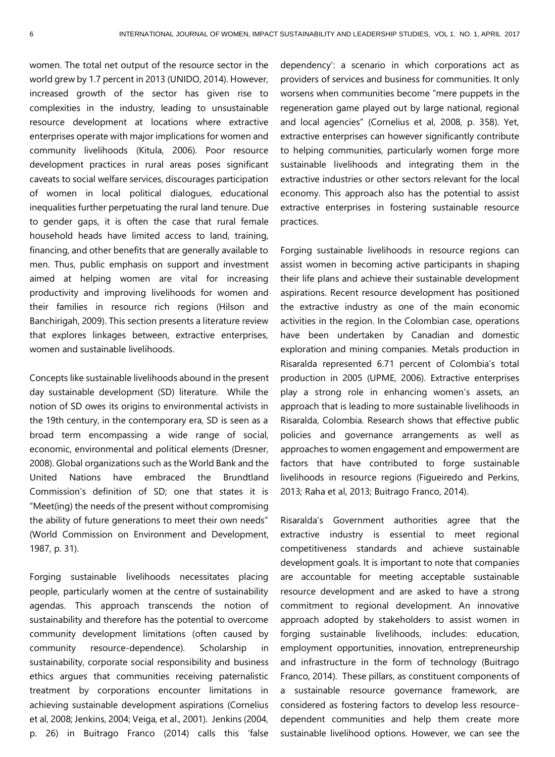women. The total net output of the resource sector in the world grew by 1.7 percent in 2013 (UNIDO, 2014). However, increased growth of the sector has given rise to complexities in the industry, leading to unsustainable resource development at locations where extractive enterprises operate with major implications for women and community livelihoods (Kitula, 2006). Poor resource development practices in rural areas poses significant caveats to social welfare services, discourages participation of women in local political dialogues, educational inequalities further perpetuating the rural land tenure. Due to gender gaps, it is often the case that rural female household heads have limited access to land, training, financing, and other benefits that are generally available to men. Thus, public emphasis on support and investment aimed at helping women are vital for increasing productivity and improving livelihoods for women and their families in resource rich regions (Hilson and Banchirigah, 2009). This section presents a literature review that explores linkages between, extractive enterprises, women and sustainable livelihoods.

Concepts like sustainable livelihoods abound in the present day sustainable development (SD) literature. While the notion of SD owes its origins to environmental activists in the 19th century, in the contemporary era, SD is seen as a broad term encompassing a wide range of social, economic, environmental and political elements (Dresner, 2008). Global organizations such as the World Bank and the United Nations have embraced the Brundtland Commission's definition of SD; one that states it is "Meet(ing) the needs of the present without compromising the ability of future generations to meet their own needs" (World Commission on Environment and Development, 1987, p. 31).

Forging sustainable livelihoods necessitates placing people, particularly women at the centre of sustainability agendas. This approach transcends the notion of sustainability and therefore has the potential to overcome community development limitations (often caused by community resource-dependence). Scholarship in sustainability, corporate social responsibility and business ethics argues that communities receiving paternalistic treatment by corporations encounter limitations in achieving sustainable development aspirations (Cornelius et al, 2008; Jenkins, 2004; Veiga, et al., 2001). Jenkins (2004, p. 26) in Buitrago Franco (2014) calls this 'false

dependency': a scenario in which corporations act as providers of services and business for communities. It only worsens when communities become "mere puppets in the regeneration game played out by large national, regional and local agencies" (Cornelius et al, 2008, p. 358). Yet, extractive enterprises can however significantly contribute to helping communities, particularly women forge more sustainable livelihoods and integrating them in the extractive industries or other sectors relevant for the local economy. This approach also has the potential to assist extractive enterprises in fostering sustainable resource practices.

Forging sustainable livelihoods in resource regions can assist women in becoming active participants in shaping their life plans and achieve their sustainable development aspirations. Recent resource development has positioned the extractive industry as one of the main economic activities in the region. In the Colombian case, operations have been undertaken by Canadian and domestic exploration and mining companies. Metals production in Risaralda represented 6.71 percent of Colombia's total production in 2005 (UPME, 2006). Extractive enterprises play a strong role in enhancing women's assets, an approach that is leading to more sustainable livelihoods in Risaralda, Colombia. Research shows that effective public policies and governance arrangements as well as approaches to women engagement and empowerment are factors that have contributed to forge sustainable livelihoods in resource regions (Figueiredo and Perkins, 2013; Raha et al, 2013; Buitrago Franco, 2014).

Risaralda's Government authorities agree that the extractive industry is essential to meet regional competitiveness standards and achieve sustainable development goals. It is important to note that companies are accountable for meeting acceptable sustainable resource development and are asked to have a strong commitment to regional development. An innovative approach adopted by stakeholders to assist women in forging sustainable livelihoods, includes: education, employment opportunities, innovation, entrepreneurship and infrastructure in the form of technology (Buitrago Franco, 2014). These pillars, as constituent components of a sustainable resource governance framework, are considered as fostering factors to develop less resourcedependent communities and help them create more sustainable livelihood options. However, we can see the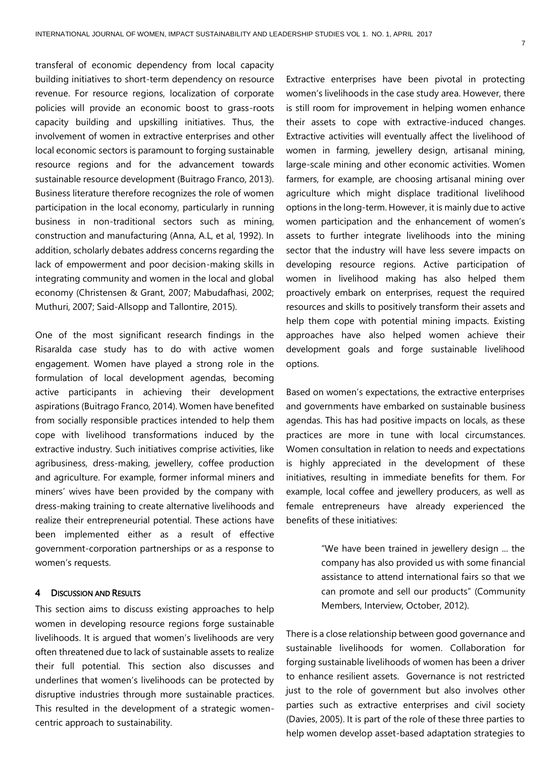transferal of economic dependency from local capacity building initiatives to short-term dependency on resource revenue. For resource regions, localization of corporate policies will provide an economic boost to grass-roots capacity building and upskilling initiatives. Thus, the involvement of women in extractive enterprises and other local economic sectors is paramount to forging sustainable resource regions and for the advancement towards sustainable resource development (Buitrago Franco, 2013). Business literature therefore recognizes the role of women participation in the local economy, particularly in running business in non-traditional sectors such as mining, construction and manufacturing (Anna, A.L, et al, 1992). In addition, scholarly debates address concerns regarding the lack of empowerment and poor decision-making skills in integrating community and women in the local and global economy (Christensen & Grant, 2007; Mabudafhasi, 2002; Muthuri, 2007; Said-Allsopp and Tallontire, 2015).

One of the most significant research findings in the Risaralda case study has to do with active women engagement. Women have played a strong role in the formulation of local development agendas, becoming active participants in achieving their development aspirations (Buitrago Franco, 2014). Women have benefited from socially responsible practices intended to help them cope with livelihood transformations induced by the extractive industry. Such initiatives comprise activities, like agribusiness, dress-making, jewellery, coffee production and agriculture. For example, former informal miners and miners' wives have been provided by the company with dress-making training to create alternative livelihoods and realize their entrepreneurial potential. These actions have been implemented either as a result of effective government-corporation partnerships or as a response to women's requests.

#### 4 DISCUSSION AND RESULTS

This section aims to discuss existing approaches to help women in developing resource regions forge sustainable livelihoods. It is argued that women's livelihoods are very often threatened due to lack of sustainable assets to realize their full potential. This section also discusses and underlines that women's livelihoods can be protected by disruptive industries through more sustainable practices. This resulted in the development of a strategic womencentric approach to sustainability.

Extractive enterprises have been pivotal in protecting women's livelihoods in the case study area. However, there is still room for improvement in helping women enhance their assets to cope with extractive-induced changes. Extractive activities will eventually affect the livelihood of women in farming, jewellery design, artisanal mining, large-scale mining and other economic activities. Women farmers, for example, are choosing artisanal mining over agriculture which might displace traditional livelihood options in the long-term. However, it is mainly due to active women participation and the enhancement of women's assets to further integrate livelihoods into the mining sector that the industry will have less severe impacts on developing resource regions. Active participation of women in livelihood making has also helped them proactively embark on enterprises, request the required resources and skills to positively transform their assets and help them cope with potential mining impacts. Existing approaches have also helped women achieve their development goals and forge sustainable livelihood options.

Based on women's expectations, the extractive enterprises and governments have embarked on sustainable business agendas. This has had positive impacts on locals, as these practices are more in tune with local circumstances. Women consultation in relation to needs and expectations is highly appreciated in the development of these initiatives, resulting in immediate benefits for them. For example, local coffee and jewellery producers, as well as female entrepreneurs have already experienced the benefits of these initiatives:

> "We have been trained in jewellery design ... the company has also provided us with some financial assistance to attend international fairs so that we can promote and sell our products" (Community Members, Interview, October, 2012).

There is a close relationship between good governance and sustainable livelihoods for women. Collaboration for forging sustainable livelihoods of women has been a driver to enhance resilient assets. Governance is not restricted just to the role of government but also involves other parties such as extractive enterprises and civil society (Davies, 2005). It is part of the role of these three parties to help women develop asset-based adaptation strategies to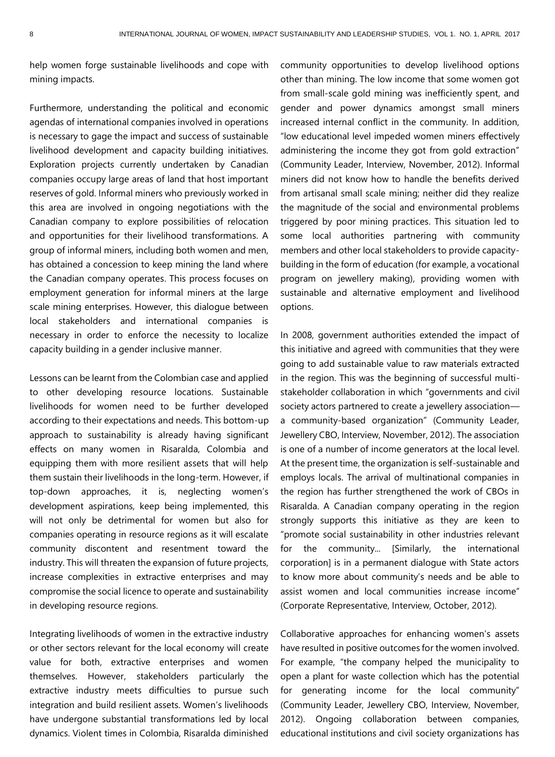help women forge sustainable livelihoods and cope with mining impacts.

Furthermore, understanding the political and economic agendas of international companies involved in operations is necessary to gage the impact and success of sustainable livelihood development and capacity building initiatives. Exploration projects currently undertaken by Canadian companies occupy large areas of land that host important reserves of gold. Informal miners who previously worked in this area are involved in ongoing negotiations with the Canadian company to explore possibilities of relocation and opportunities for their livelihood transformations. A group of informal miners, including both women and men, has obtained a concession to keep mining the land where the Canadian company operates. This process focuses on employment generation for informal miners at the large scale mining enterprises. However, this dialogue between local stakeholders and international companies is necessary in order to enforce the necessity to localize capacity building in a gender inclusive manner.

Lessons can be learnt from the Colombian case and applied to other developing resource locations. Sustainable livelihoods for women need to be further developed according to their expectations and needs. This bottom-up approach to sustainability is already having significant effects on many women in Risaralda, Colombia and equipping them with more resilient assets that will help them sustain their livelihoods in the long-term. However, if top-down approaches, it is, neglecting women's development aspirations, keep being implemented, this will not only be detrimental for women but also for companies operating in resource regions as it will escalate community discontent and resentment toward the industry. This will threaten the expansion of future projects, increase complexities in extractive enterprises and may compromise the social licence to operate and sustainability in developing resource regions.

Integrating livelihoods of women in the extractive industry or other sectors relevant for the local economy will create value for both, extractive enterprises and women themselves. However, stakeholders particularly the extractive industry meets difficulties to pursue such integration and build resilient assets. Women's livelihoods have undergone substantial transformations led by local dynamics. Violent times in Colombia, Risaralda diminished

community opportunities to develop livelihood options other than mining. The low income that some women got from small-scale gold mining was inefficiently spent, and gender and power dynamics amongst small miners increased internal conflict in the community. In addition, "low educational level impeded women miners effectively administering the income they got from gold extraction" (Community Leader, Interview, November, 2012). Informal miners did not know how to handle the benefits derived from artisanal small scale mining; neither did they realize the magnitude of the social and environmental problems triggered by poor mining practices. This situation led to some local authorities partnering with community members and other local stakeholders to provide capacitybuilding in the form of education (for example, a vocational program on jewellery making), providing women with sustainable and alternative employment and livelihood options.

In 2008, government authorities extended the impact of this initiative and agreed with communities that they were going to add sustainable value to raw materials extracted in the region. This was the beginning of successful multistakeholder collaboration in which "governments and civil society actors partnered to create a jewellery association a community-based organization" (Community Leader, Jewellery CBO, Interview, November, 2012). The association is one of a number of income generators at the local level. At the present time, the organization is self-sustainable and employs locals. The arrival of multinational companies in the region has further strengthened the work of CBOs in Risaralda. A Canadian company operating in the region strongly supports this initiative as they are keen to "promote social sustainability in other industries relevant for the community... [Similarly, the international corporation] is in a permanent dialogue with State actors to know more about community's needs and be able to assist women and local communities increase income" (Corporate Representative, Interview, October, 2012).

Collaborative approaches for enhancing women's assets have resulted in positive outcomes for the women involved. For example, "the company helped the municipality to open a plant for waste collection which has the potential for generating income for the local community" (Community Leader, Jewellery CBO, Interview, November, 2012). Ongoing collaboration between companies, educational institutions and civil society organizations has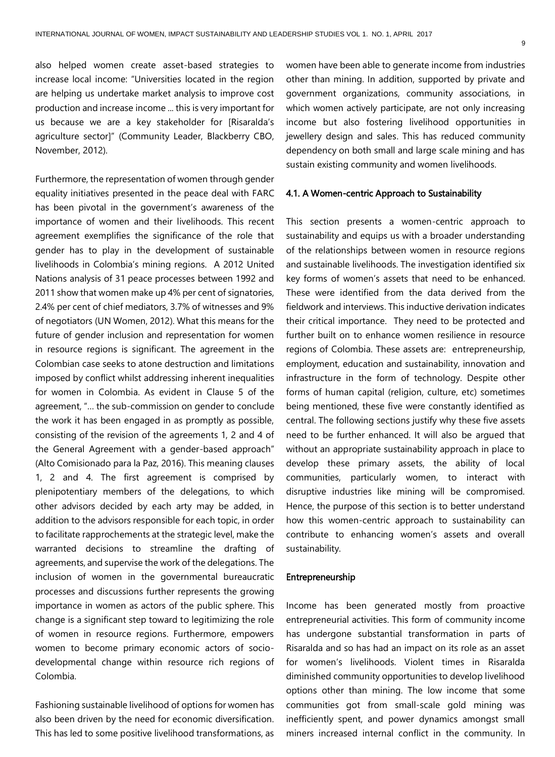also helped women create asset-based strategies to increase local income: "Universities located in the region are helping us undertake market analysis to improve cost production and increase income ... this is very important for us because we are a key stakeholder for [Risaralda's agriculture sector]" (Community Leader, Blackberry CBO, November, 2012).

Furthermore, the representation of women through gender equality initiatives presented in the peace deal with FARC has been pivotal in the government's awareness of the importance of women and their livelihoods. This recent agreement exemplifies the significance of the role that gender has to play in the development of sustainable livelihoods in Colombia's mining regions. A 2012 United Nations analysis of 31 peace processes between 1992 and 2011 show that women make up 4% per cent of signatories, 2.4% per cent of chief mediators, 3.7% of witnesses and 9% of negotiators (UN Women, 2012). What this means for the future of gender inclusion and representation for women in resource regions is significant. The agreement in the Colombian case seeks to atone destruction and limitations imposed by conflict whilst addressing inherent inequalities for women in Colombia. As evident in Clause 5 of the agreement, "… the sub-commission on gender to conclude the work it has been engaged in as promptly as possible, consisting of the revision of the agreements 1, 2 and 4 of the General Agreement with a gender-based approach" (Alto Comisionado para la Paz, 2016). This meaning clauses 1, 2 and 4. The first agreement is comprised by plenipotentiary members of the delegations, to which other advisors decided by each arty may be added, in addition to the advisors responsible for each topic, in order to facilitate rapprochements at the strategic level, make the warranted decisions to streamline the drafting of agreements, and supervise the work of the delegations. The inclusion of women in the governmental bureaucratic processes and discussions further represents the growing importance in women as actors of the public sphere. This change is a significant step toward to legitimizing the role of women in resource regions. Furthermore, empowers women to become primary economic actors of sociodevelopmental change within resource rich regions of Colombia.

Fashioning sustainable livelihood of options for women has also been driven by the need for economic diversification. This has led to some positive livelihood transformations, as women have been able to generate income from industries other than mining. In addition, supported by private and government organizations, community associations, in which women actively participate, are not only increasing income but also fostering livelihood opportunities in jewellery design and sales. This has reduced community dependency on both small and large scale mining and has sustain existing community and women livelihoods.

#### 4.1. A Women-centric Approach to Sustainability

This section presents a women-centric approach to sustainability and equips us with a broader understanding of the relationships between women in resource regions and sustainable livelihoods. The investigation identified six key forms of women's assets that need to be enhanced. These were identified from the data derived from the fieldwork and interviews. This inductive derivation indicates their critical importance. They need to be protected and further built on to enhance women resilience in resource regions of Colombia. These assets are: entrepreneurship, employment, education and sustainability, innovation and infrastructure in the form of technology. Despite other forms of human capital (religion, culture, etc) sometimes being mentioned, these five were constantly identified as central. The following sections justify why these five assets need to be further enhanced. It will also be argued that without an appropriate sustainability approach in place to develop these primary assets, the ability of local communities, particularly women, to interact with disruptive industries like mining will be compromised. Hence, the purpose of this section is to better understand how this women-centric approach to sustainability can contribute to enhancing women's assets and overall sustainability.

#### Entrepreneurship

Income has been generated mostly from proactive entrepreneurial activities. This form of community income has undergone substantial transformation in parts of Risaralda and so has had an impact on its role as an asset for women's livelihoods. Violent times in Risaralda diminished community opportunities to develop livelihood options other than mining. The low income that some communities got from small-scale gold mining was inefficiently spent, and power dynamics amongst small miners increased internal conflict in the community. In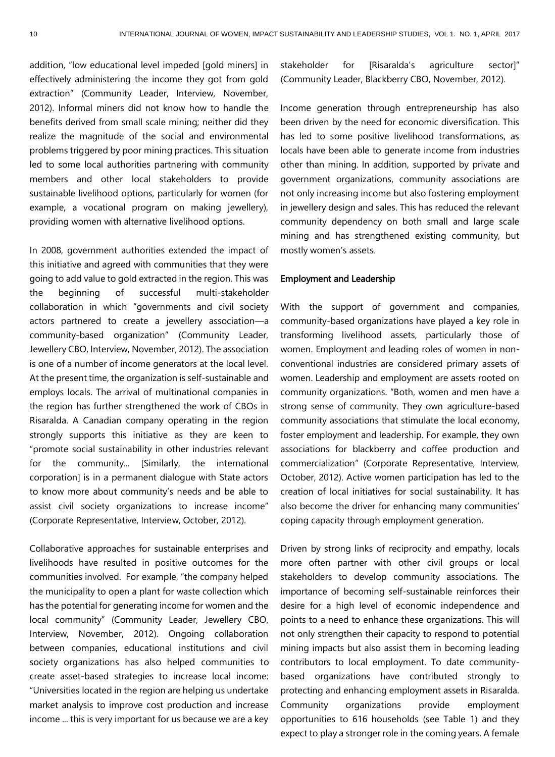addition, "low educational level impeded [gold miners] in effectively administering the income they got from gold extraction" (Community Leader, Interview, November, 2012). Informal miners did not know how to handle the benefits derived from small scale mining; neither did they realize the magnitude of the social and environmental problems triggered by poor mining practices. This situation led to some local authorities partnering with community members and other local stakeholders to provide sustainable livelihood options, particularly for women (for example, a vocational program on making jewellery), providing women with alternative livelihood options.

In 2008, government authorities extended the impact of this initiative and agreed with communities that they were going to add value to gold extracted in the region. This was the beginning of successful multi-stakeholder collaboration in which "governments and civil society actors partnered to create a jewellery association—a community-based organization" (Community Leader, Jewellery CBO, Interview, November, 2012). The association is one of a number of income generators at the local level. At the present time, the organization is self-sustainable and employs locals. The arrival of multinational companies in the region has further strengthened the work of CBOs in Risaralda. A Canadian company operating in the region strongly supports this initiative as they are keen to "promote social sustainability in other industries relevant for the community... [Similarly, the international corporation] is in a permanent dialogue with State actors to know more about community's needs and be able to assist civil society organizations to increase income" (Corporate Representative, Interview, October, 2012).

Collaborative approaches for sustainable enterprises and livelihoods have resulted in positive outcomes for the communities involved. For example, "the company helped the municipality to open a plant for waste collection which has the potential for generating income for women and the local community" (Community Leader, Jewellery CBO, Interview, November, 2012). Ongoing collaboration between companies, educational institutions and civil society organizations has also helped communities to create asset-based strategies to increase local income: "Universities located in the region are helping us undertake market analysis to improve cost production and increase income ... this is very important for us because we are a key

stakeholder for [Risaralda's agriculture sector]" (Community Leader, Blackberry CBO, November, 2012).

Income generation through entrepreneurship has also been driven by the need for economic diversification. This has led to some positive livelihood transformations, as locals have been able to generate income from industries other than mining. In addition, supported by private and government organizations, community associations are not only increasing income but also fostering employment in jewellery design and sales. This has reduced the relevant community dependency on both small and large scale mining and has strengthened existing community, but mostly women's assets.

#### Employment and Leadership

With the support of government and companies, community-based organizations have played a key role in transforming livelihood assets, particularly those of women. Employment and leading roles of women in nonconventional industries are considered primary assets of women. Leadership and employment are assets rooted on community organizations. "Both, women and men have a strong sense of community. They own agriculture-based community associations that stimulate the local economy, foster employment and leadership. For example, they own associations for blackberry and coffee production and commercialization" (Corporate Representative, Interview, October, 2012). Active women participation has led to the creation of local initiatives for social sustainability. It has also become the driver for enhancing many communities' coping capacity through employment generation.

Driven by strong links of reciprocity and empathy, locals more often partner with other civil groups or local stakeholders to develop community associations. The importance of becoming self-sustainable reinforces their desire for a high level of economic independence and points to a need to enhance these organizations. This will not only strengthen their capacity to respond to potential mining impacts but also assist them in becoming leading contributors to local employment. To date communitybased organizations have contributed strongly to protecting and enhancing employment assets in Risaralda. Community organizations provide employment opportunities to 616 households (see Table 1) and they expect to play a stronger role in the coming years. A female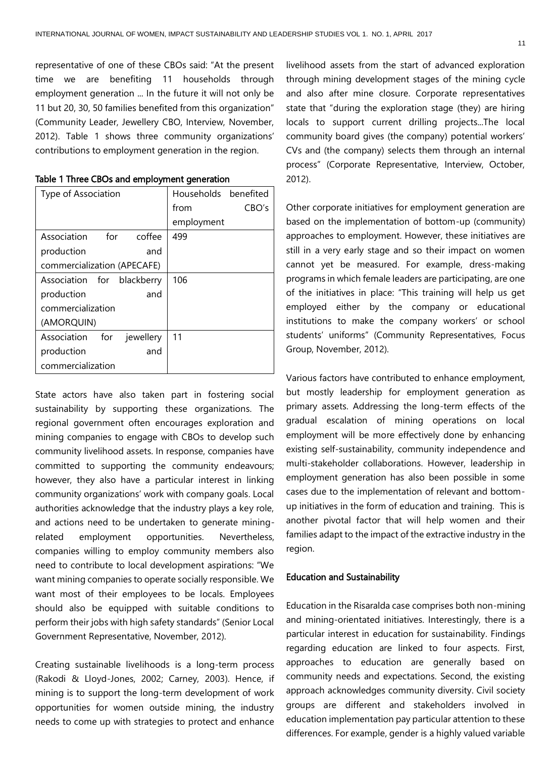representative of one of these CBOs said: "At the present time we are benefiting 11 households through employment generation ... In the future it will not only be 11 but 20, 30, 50 families benefited from this organization" (Community Leader, Jewellery CBO, Interview, November, 2012). Table 1 shows three community organizations' contributions to employment generation in the region.

| Type of Association          | Households benefited |
|------------------------------|----------------------|
|                              | CBO's<br>from        |
|                              | employment           |
| Association for<br>coffee    | 499                  |
| production<br>and            |                      |
| commercialization (APECAFE)  |                      |
| Association for blackberry   | 106                  |
| production<br>and            |                      |
| commercialization            |                      |
| (AMORQUIN)                   |                      |
| Association for<br>jewellery | 11                   |
| production<br>and            |                      |
| commercialization            |                      |

| Table 1 Three CBOs and employment generation |  |
|----------------------------------------------|--|
|----------------------------------------------|--|

State actors have also taken part in fostering social sustainability by supporting these organizations. The regional government often encourages exploration and mining companies to engage with CBOs to develop such community livelihood assets. In response, companies have committed to supporting the community endeavours; however, they also have a particular interest in linking community organizations' work with company goals. Local authorities acknowledge that the industry plays a key role, and actions need to be undertaken to generate miningrelated employment opportunities. Nevertheless, companies willing to employ community members also need to contribute to local development aspirations: "We want mining companies to operate socially responsible. We want most of their employees to be locals. Employees should also be equipped with suitable conditions to perform their jobs with high safety standards" (Senior Local Government Representative, November, 2012).

Creating sustainable livelihoods is a long-term process (Rakodi & Lloyd-Jones, 2002; Carney, 2003). Hence, if mining is to support the long-term development of work opportunities for women outside mining, the industry needs to come up with strategies to protect and enhance livelihood assets from the start of advanced exploration through mining development stages of the mining cycle and also after mine closure. Corporate representatives state that "during the exploration stage (they) are hiring locals to support current drilling projects...The local community board gives (the company) potential workers' CVs and (the company) selects them through an internal process" (Corporate Representative, Interview, October, 2012).

Other corporate initiatives for employment generation are based on the implementation of bottom-up (community) approaches to employment. However, these initiatives are still in a very early stage and so their impact on women cannot yet be measured. For example, dress-making programs in which female leaders are participating, are one of the initiatives in place: "This training will help us get employed either by the company or educational institutions to make the company workers' or school students' uniforms" (Community Representatives, Focus Group, November, 2012).

Various factors have contributed to enhance employment, but mostly leadership for employment generation as primary assets. Addressing the long-term effects of the gradual escalation of mining operations on local employment will be more effectively done by enhancing existing self-sustainability, community independence and multi-stakeholder collaborations. However, leadership in employment generation has also been possible in some cases due to the implementation of relevant and bottomup initiatives in the form of education and training. This is another pivotal factor that will help women and their families adapt to the impact of the extractive industry in the region.

#### Education and Sustainability

Education in the Risaralda case comprises both non-mining and mining-orientated initiatives. Interestingly, there is a particular interest in education for sustainability. Findings regarding education are linked to four aspects. First, approaches to education are generally based on community needs and expectations. Second, the existing approach acknowledges community diversity. Civil society groups are different and stakeholders involved in education implementation pay particular attention to these differences. For example, gender is a highly valued variable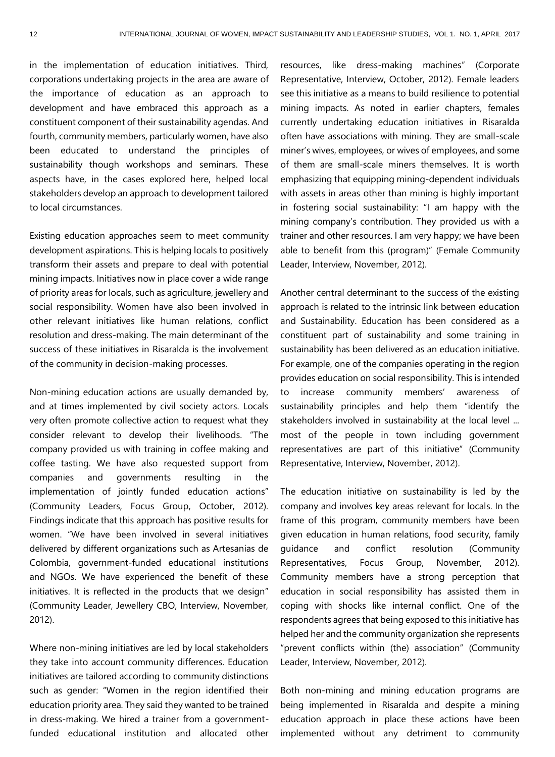in the implementation of education initiatives. Third, corporations undertaking projects in the area are aware of the importance of education as an approach to development and have embraced this approach as a constituent component of their sustainability agendas. And fourth, community members, particularly women, have also been educated to understand the principles of sustainability though workshops and seminars. These aspects have, in the cases explored here, helped local stakeholders develop an approach to development tailored to local circumstances.

Existing education approaches seem to meet community development aspirations. This is helping locals to positively transform their assets and prepare to deal with potential mining impacts. Initiatives now in place cover a wide range of priority areas for locals, such as agriculture, jewellery and social responsibility. Women have also been involved in other relevant initiatives like human relations, conflict resolution and dress-making. The main determinant of the success of these initiatives in Risaralda is the involvement of the community in decision-making processes.

Non-mining education actions are usually demanded by, and at times implemented by civil society actors. Locals very often promote collective action to request what they consider relevant to develop their livelihoods. "The company provided us with training in coffee making and coffee tasting. We have also requested support from companies and governments resulting in the implementation of jointly funded education actions" (Community Leaders, Focus Group, October, 2012). Findings indicate that this approach has positive results for women. "We have been involved in several initiatives delivered by different organizations such as Artesanias de Colombia, government-funded educational institutions and NGOs. We have experienced the benefit of these initiatives. It is reflected in the products that we design" (Community Leader, Jewellery CBO, Interview, November, 2012).

Where non-mining initiatives are led by local stakeholders they take into account community differences. Education initiatives are tailored according to community distinctions such as gender: "Women in the region identified their education priority area. They said they wanted to be trained in dress-making. We hired a trainer from a governmentfunded educational institution and allocated other resources, like dress-making machines" (Corporate Representative, Interview, October, 2012). Female leaders see this initiative as a means to build resilience to potential mining impacts. As noted in earlier chapters, females currently undertaking education initiatives in Risaralda often have associations with mining. They are small-scale miner's wives, employees, or wives of employees, and some of them are small-scale miners themselves. It is worth emphasizing that equipping mining-dependent individuals with assets in areas other than mining is highly important in fostering social sustainability: "I am happy with the mining company's contribution. They provided us with a trainer and other resources. I am very happy; we have been able to benefit from this (program)" (Female Community Leader, Interview, November, 2012).

Another central determinant to the success of the existing approach is related to the intrinsic link between education and Sustainability. Education has been considered as a constituent part of sustainability and some training in sustainability has been delivered as an education initiative. For example, one of the companies operating in the region provides education on social responsibility. This is intended to increase community members' awareness of sustainability principles and help them "identify the stakeholders involved in sustainability at the local level ... most of the people in town including government representatives are part of this initiative" (Community Representative, Interview, November, 2012).

The education initiative on sustainability is led by the company and involves key areas relevant for locals. In the frame of this program, community members have been given education in human relations, food security, family guidance and conflict resolution (Community Representatives, Focus Group, November, 2012). Community members have a strong perception that education in social responsibility has assisted them in coping with shocks like internal conflict. One of the respondents agrees that being exposed to this initiative has helped her and the community organization she represents "prevent conflicts within (the) association" (Community Leader, Interview, November, 2012).

Both non-mining and mining education programs are being implemented in Risaralda and despite a mining education approach in place these actions have been implemented without any detriment to community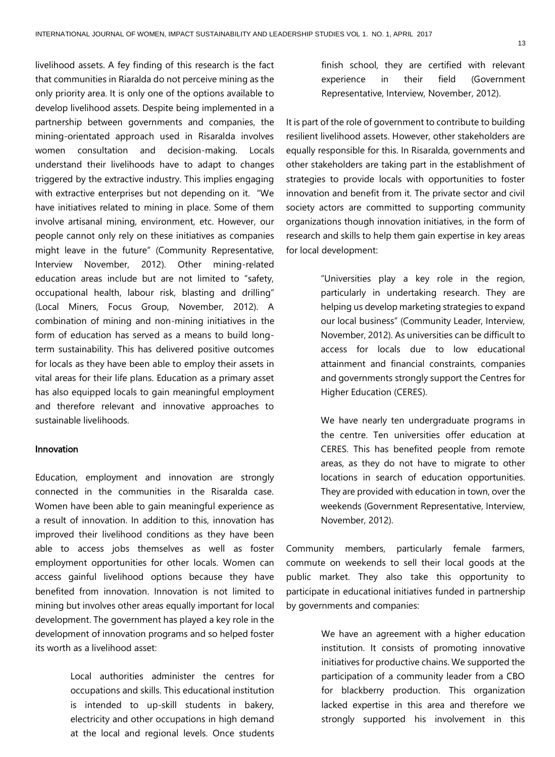livelihood assets. A fey finding of this research is the fact that communities in Riaralda do not perceive mining as the only priority area. It is only one of the options available to develop livelihood assets. Despite being implemented in a partnership between governments and companies, the mining-orientated approach used in Risaralda involves women consultation and decision-making. Locals understand their livelihoods have to adapt to changes triggered by the extractive industry. This implies engaging with extractive enterprises but not depending on it. "We have initiatives related to mining in place. Some of them involve artisanal mining, environment, etc. However, our people cannot only rely on these initiatives as companies might leave in the future" (Community Representative, Interview November, 2012). Other mining-related education areas include but are not limited to "safety, occupational health, labour risk, blasting and drilling" (Local Miners, Focus Group, November, 2012). A combination of mining and non-mining initiatives in the form of education has served as a means to build longterm sustainability. This has delivered positive outcomes for locals as they have been able to employ their assets in vital areas for their life plans. Education as a primary asset has also equipped locals to gain meaningful employment and therefore relevant and innovative approaches to sustainable livelihoods.

#### Innovation

Education, employment and innovation are strongly connected in the communities in the Risaralda case. Women have been able to gain meaningful experience as a result of innovation. In addition to this, innovation has improved their livelihood conditions as they have been able to access jobs themselves as well as foster employment opportunities for other locals. Women can access gainful livelihood options because they have benefited from innovation. Innovation is not limited to mining but involves other areas equally important for local development. The government has played a key role in the development of innovation programs and so helped foster its worth as a livelihood asset:

> Local authorities administer the centres for occupations and skills. This educational institution is intended to up-skill students in bakery, electricity and other occupations in high demand at the local and regional levels. Once students

finish school, they are certified with relevant experience in their field (Government Representative, Interview, November, 2012).

It is part of the role of government to contribute to building resilient livelihood assets. However, other stakeholders are equally responsible for this. In Risaralda, governments and other stakeholders are taking part in the establishment of strategies to provide locals with opportunities to foster innovation and benefit from it. The private sector and civil society actors are committed to supporting community organizations though innovation initiatives, in the form of research and skills to help them gain expertise in key areas for local development:

> "Universities play a key role in the region, particularly in undertaking research. They are helping us develop marketing strategies to expand our local business" (Community Leader, Interview, November, 2012). As universities can be difficult to access for locals due to low educational attainment and financial constraints, companies and governments strongly support the Centres for Higher Education (CERES).

> We have nearly ten undergraduate programs in the centre. Ten universities offer education at CERES. This has benefited people from remote areas, as they do not have to migrate to other locations in search of education opportunities. They are provided with education in town, over the weekends (Government Representative, Interview, November, 2012).

Community members, particularly female farmers, commute on weekends to sell their local goods at the public market. They also take this opportunity to participate in educational initiatives funded in partnership by governments and companies:

> We have an agreement with a higher education institution. It consists of promoting innovative initiatives for productive chains. We supported the participation of a community leader from a CBO for blackberry production. This organization lacked expertise in this area and therefore we strongly supported his involvement in this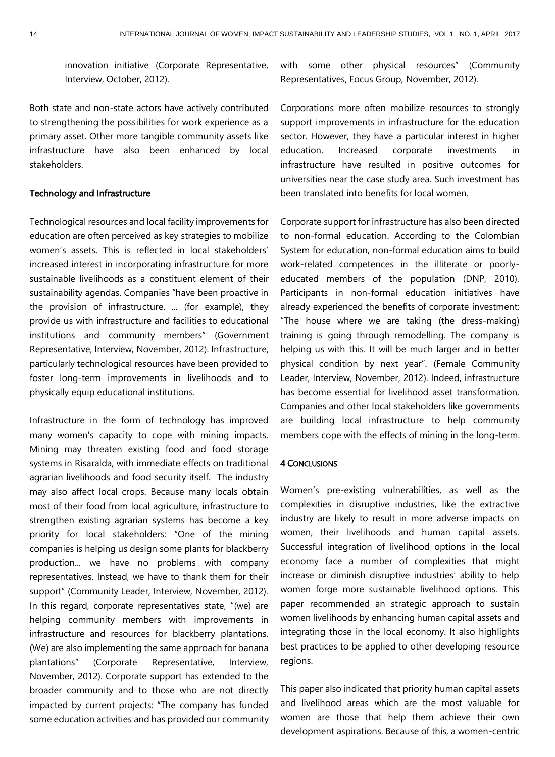innovation initiative (Corporate Representative, Interview, October, 2012).

Both state and non-state actors have actively contributed to strengthening the possibilities for work experience as a primary asset. Other more tangible community assets like infrastructure have also been enhanced by local stakeholders.

#### Technology and Infrastructure

Technological resources and local facility improvements for education are often perceived as key strategies to mobilize women's assets. This is reflected in local stakeholders' increased interest in incorporating infrastructure for more sustainable livelihoods as a constituent element of their sustainability agendas. Companies "have been proactive in the provision of infrastructure. ... (for example), they provide us with infrastructure and facilities to educational institutions and community members" (Government Representative, Interview, November, 2012). Infrastructure, particularly technological resources have been provided to foster long-term improvements in livelihoods and to physically equip educational institutions.

Infrastructure in the form of technology has improved many women's capacity to cope with mining impacts. Mining may threaten existing food and food storage systems in Risaralda, with immediate effects on traditional agrarian livelihoods and food security itself. The industry may also affect local crops. Because many locals obtain most of their food from local agriculture, infrastructure to strengthen existing agrarian systems has become a key priority for local stakeholders: "One of the mining companies is helping us design some plants for blackberry production... we have no problems with company representatives. Instead, we have to thank them for their support" (Community Leader, Interview, November, 2012). In this regard, corporate representatives state, "(we) are helping community members with improvements in infrastructure and resources for blackberry plantations. (We) are also implementing the same approach for banana plantations" (Corporate Representative, Interview, November, 2012). Corporate support has extended to the broader community and to those who are not directly impacted by current projects: "The company has funded some education activities and has provided our community

with some other physical resources" (Community Representatives, Focus Group, November, 2012).

Corporations more often mobilize resources to strongly support improvements in infrastructure for the education sector. However, they have a particular interest in higher education. Increased corporate investments in infrastructure have resulted in positive outcomes for universities near the case study area. Such investment has been translated into benefits for local women.

Corporate support for infrastructure has also been directed to non-formal education. According to the Colombian System for education, non-formal education aims to build work-related competences in the illiterate or poorlyeducated members of the population (DNP, 2010). Participants in non-formal education initiatives have already experienced the benefits of corporate investment: "The house where we are taking (the dress-making) training is going through remodelling. The company is helping us with this. It will be much larger and in better physical condition by next year". (Female Community Leader, Interview, November, 2012). Indeed, infrastructure has become essential for livelihood asset transformation. Companies and other local stakeholders like governments are building local infrastructure to help community members cope with the effects of mining in the long-term.

#### 4 CONCLUSIONS

Women's pre-existing vulnerabilities, as well as the complexities in disruptive industries, like the extractive industry are likely to result in more adverse impacts on women, their livelihoods and human capital assets. Successful integration of livelihood options in the local economy face a number of complexities that might increase or diminish disruptive industries' ability to help women forge more sustainable livelihood options. This paper recommended an strategic approach to sustain women livelihoods by enhancing human capital assets and integrating those in the local economy. It also highlights best practices to be applied to other developing resource regions.

This paper also indicated that priority human capital assets and livelihood areas which are the most valuable for women are those that help them achieve their own development aspirations. Because of this, a women-centric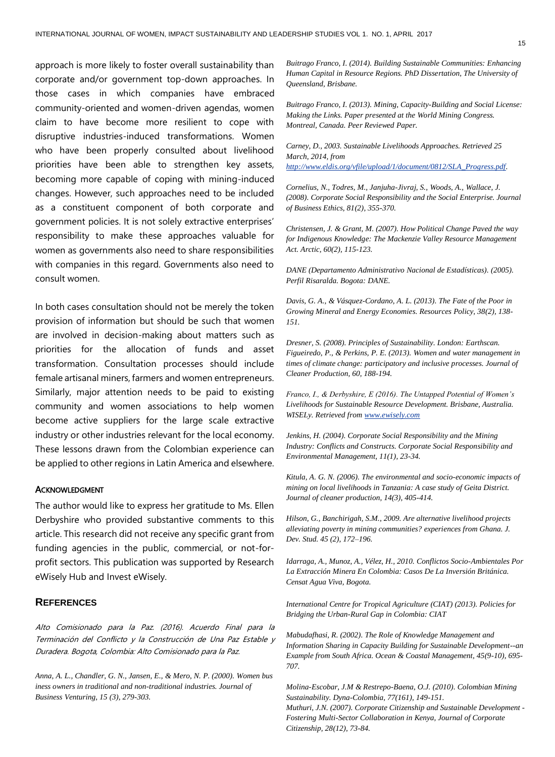approach is more likely to foster overall sustainability than corporate and/or government top-down approaches. In those cases in which companies have embraced community-oriented and women-driven agendas, women claim to have become more resilient to cope with disruptive industries-induced transformations. Women who have been properly consulted about livelihood priorities have been able to strengthen key assets, becoming more capable of coping with mining-induced changes. However, such approaches need to be included as a constituent component of both corporate and government policies. It is not solely extractive enterprises' responsibility to make these approaches valuable for women as governments also need to share responsibilities with companies in this regard. Governments also need to consult women.

In both cases consultation should not be merely the token provision of information but should be such that women are involved in decision-making about matters such as priorities for the allocation of funds and asset transformation. Consultation processes should include female artisanal miners, farmers and women entrepreneurs. Similarly, major attention needs to be paid to existing community and women associations to help women become active suppliers for the large scale extractive industry or other industries relevant for the local economy. These lessons drawn from the Colombian experience can be applied to other regions in Latin America and elsewhere.

#### ACKNOWLEDGMENT

The author would like to express her gratitude to Ms. Ellen Derbyshire who provided substantive comments to this article. This research did not receive any specific grant from funding agencies in the public, commercial, or not-forprofit sectors. This publication was supported by Research eWisely Hub and Invest eWisely.

#### **REFERENCES**

Alto Comisionado para la Paz. (2016). Acuerdo Final para la Terminación del Conflicto y la Construcción de Una Paz Estable y Duradera. Bogota, Colombia: Alto Comisionado para la Paz.

*Anna, A. L., Chandler, G. N., Jansen, E., & Mero, N. P. (2000). Women bus iness owners in traditional and non-traditional industries. Journal of Business Venturing, 15 (3), 279-303.* 

*Buitrago Franco, I. (2014). Building Sustainable Communities: Enhancing Human Capital in Resource Regions. PhD Dissertation, The University of Queensland, Brisbane.* 

*Buitrago Franco, I. (2013). Mining, Capacity-Building and Social License: Making the Links. Paper presented at the World Mining Congress. Montreal, Canada. Peer Reviewed Paper.*

*Carney, D., 2003. Sustainable Livelihoods Approaches. Retrieved 25 March, 2014, from [http://www.eldis.org/vfile/upload/1/document/0812/SLA\\_Progress.pdf.](http://www.eldis.org/vfile/upload/1/document/0812/SLA_Progress.pdf)* 

*Cornelius, N., Todres, M., Janjuha-Jivraj, S., Woods, A., Wallace, J. (2008). Corporate Social Responsibility and the Social Enterprise. Journal of Business Ethics, 81(2), 355-370.* 

*Christensen, J. & Grant, M. (2007). How Political Change Paved the way for Indigenous Knowledge: The Mackenzie Valley Resource Management Act. Arctic, 60(2), 115-123.* 

*DANE (Departamento Administrativo Nacional de Estadísticas). (2005). Perfil Risaralda. Bogota: DANE.*

*Davis, G. A., & Vásquez-Cordano, A. L. (2013). The Fate of the Poor in Growing Mineral and Energy Economies. Resources Policy, 38(2), 138- 151.* 

*Dresner, S. (2008). Principles of Sustainability. London: Earthscan. Figueiredo, P., & Perkins, P. E. (2013). Women and water management in times of climate change: participatory and inclusive processes. Journal of Cleaner Production, 60, 188-194.*

*Franco, I., & Derbyshire, E (2016). The Untapped Potential of Women's Livelihoods for Sustainable Resource Development. Brisbane, Australia. WISELy. Retrieved fro[m www.ewisely.com](http://www.ewisely.com/)*

*Jenkins, H. (2004). Corporate Social Responsibility and the Mining Industry: Conflicts and Constructs. Corporate Social Responsibility and Environmental Management, 11(1), 23-34.* 

*Kitula, A. G. N. (2006). The environmental and socio-economic impacts of mining on local livelihoods in Tanzania: A case study of Geita District. Journal of cleaner production, 14(3), 405-414.*

*Hilson, G., Banchirigah, S.M., 2009. Are alternative livelihood projects alleviating poverty in mining communities? experiences from Ghana. J. Dev. Stud. 45 (2), 172–196.* 

*Idarraga, A., Munoz, A., Vélez, H., 2010. Conflictos Socio-Ambientales Por La Extracción Minera En Colombia: Casos De La Inversión Británica. Censat Agua Viva, Bogota.* 

*International Centre for Tropical Agriculture (CIAT) (2013). Policies for Bridging the Urban-Rural Gap in Colombia: CIAT* 

*Mabudafhasi, R. (2002). The Role of Knowledge Management and Information Sharing in Capacity Building for Sustainable Development--an Example from South Africa. Ocean & Coastal Management, 45(9-10), 695- 707.*

*Molina-Escobar, J.M & Restrepo-Baena, O.J. (2010). Colombian Mining Sustainability. Dyna-Colombia, 77(161), 149-151. Muthuri, J.N. (2007). Corporate Citizenship and Sustainable Development - Fostering Multi-Sector Collaboration in Kenya, Journal of Corporate Citizenship, 28(12), 73-84.*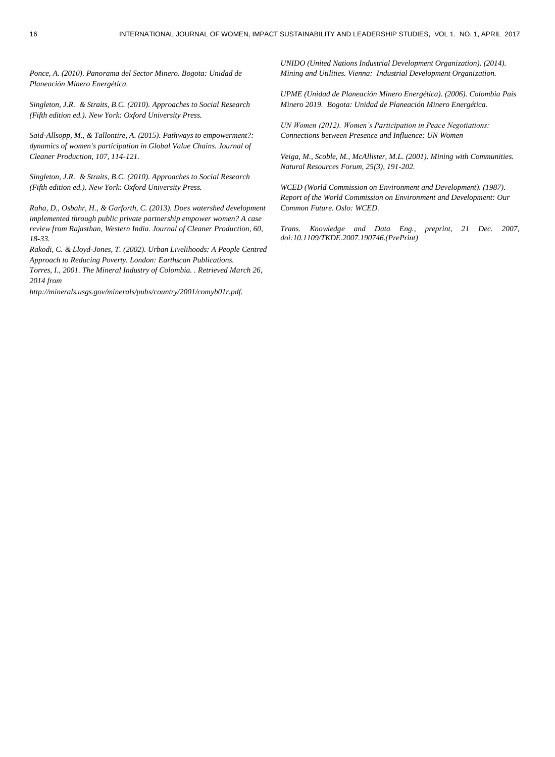*Ponce, A. (2010). Panorama del Sector Minero. Bogota: Unidad de Planeación Minero Energética.*

*Singleton, J.R. & Straits, B.C. (2010). Approaches to Social Research (Fifth edition ed.). New York: Oxford University Press.*

*Said-Allsopp, M., & Tallontire, A. (2015). Pathways to empowerment?: dynamics of women's participation in Global Value Chains. Journal of Cleaner Production, 107, 114-121.*

*Singleton, J.R. & Straits, B.C. (2010). Approaches to Social Research (Fifth edition ed.). New York: Oxford University Press.*

*Raha, D., Osbahr, H., & Garforth, C. (2013). Does watershed development implemented through public private partnership empower women? A case review from Rajasthan, Western India. Journal of Cleaner Production, 60, 18-33.*

*Rakodi, C. & Lloyd-Jones, T. (2002). Urban Livelihoods: A People Centred Approach to Reducing Poverty. London: Earthscan Publications. Torres, I., 2001. The Mineral Industry of Colombia. . Retrieved March 26, 2014 from* 

*http://minerals.usgs.gov/minerals/pubs/country/2001/comyb01r.pdf.*

*UNIDO (United Nations Industrial Development Organization). (2014). Mining and Utilities. Vienna: Industrial Development Organization.* 

*UPME (Unidad de Planeación Minero Energética). (2006). Colombia País Minero 2019. Bogota: Unidad de Planeación Minero Energética.*

*UN Women (2012). Women's Participation in Peace Negotiations: Connections between Presence and Influence: UN Women* 

*Veiga, M., Scoble, M., McAllister, M.L. (2001). Mining with Communities. Natural Resources Forum, 25(3), 191-202.* 

*WCED (World Commission on Environment and Development). (1987). Report of the World Commission on Environment and Development: Our Common Future. Oslo: WCED.*

*Trans. Knowledge and Data Eng., preprint, 21 Dec. 2007, doi:10.1109/TKDE.2007.190746.(PrePrint)*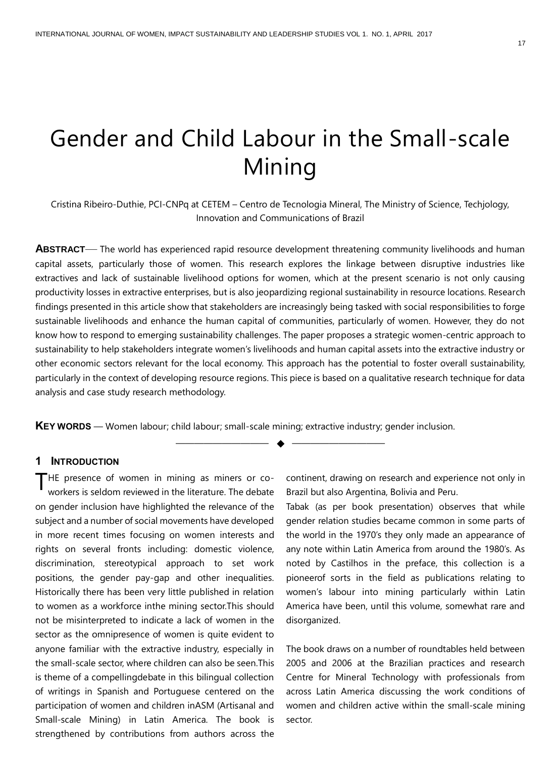## Gender and Child Labour in the Small-scale Mining

Cristina Ribeiro-Duthie, PCI-CNPq at CETEM – Centro de Tecnologia Mineral, The Ministry of Science, Techjology, Innovation and Communications of Brazil

**ABSTRACT**— The world has experienced rapid resource development threatening community livelihoods and human capital assets, particularly those of women. This research explores the linkage between disruptive industries like extractives and lack of sustainable livelihood options for women, which at the present scenario is not only causing productivity losses in extractive enterprises, but is also jeopardizing regional sustainability in resource locations. Research findings presented in this article show that stakeholders are increasingly being tasked with social responsibilities to forge sustainable livelihoods and enhance the human capital of communities, particularly of women. However, they do not know how to respond to emerging sustainability challenges. The paper proposes a strategic women-centric approach to sustainability to help stakeholders integrate women's livelihoods and human capital assets into the extractive industry or other economic sectors relevant for the local economy. This approach has the potential to foster overall sustainability, particularly in the context of developing resource regions. This piece is based on a qualitative research technique for data analysis and case study research methodology.

—————————— ◆ ——————————

**KEY WORDS** — Women labour; child labour; small-scale mining; extractive industry; gender inclusion.

#### **1 INTRODUCTION**

THE presence of women in mining as miners or co-<br>workers is seldom reviewed in the literature. The debate workers is seldom reviewed in the literature. The debate on gender inclusion have highlighted the relevance of the subject and a number of social movements have developed in more recent times focusing on women interests and rights on several fronts including: domestic violence, discrimination, stereotypical approach to set work positions, the gender pay-gap and other inequalities. Historically there has been very little published in relation to women as a workforce inthe mining sector.This should not be misinterpreted to indicate a lack of women in the sector as the omnipresence of women is quite evident to anyone familiar with the extractive industry, especially in the small-scale sector, where children can also be seen.This is theme of a compellingdebate in this bilingual collection of writings in Spanish and Portuguese centered on the participation of women and children inASM (Artisanal and Small-scale Mining) in Latin America. The book is strengthened by contributions from authors across the

continent, drawing on research and experience not only in Brazil but also Argentina, Bolivia and Peru.

Tabak (as per book presentation) observes that while gender relation studies became common in some parts of the world in the 1970's they only made an appearance of any note within Latin America from around the 1980's. As noted by Castilhos in the preface, this collection is a pioneerof sorts in the field as publications relating to women's labour into mining particularly within Latin America have been, until this volume, somewhat rare and disorganized.

The book draws on a number of roundtables held between 2005 and 2006 at the Brazilian practices and research Centre for Mineral Technology with professionals from across Latin America discussing the work conditions of women and children active within the small-scale mining sector.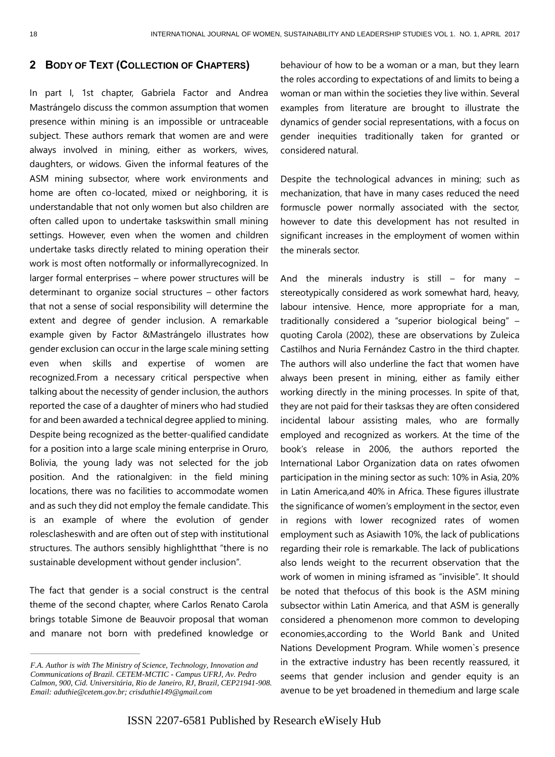## **2 BODY OF TEXT (COLLECTION OF CHAPTERS)**

In part I, 1st chapter, Gabriela Factor and Andrea Mastrángelo discuss the common assumption that women presence within mining is an impossible or untraceable subject. These authors remark that women are and were always involved in mining, either as workers, wives, daughters, or widows. Given the informal features of the ASM mining subsector, where work environments and home are often co-located, mixed or neighboring, it is understandable that not only women but also children are often called upon to undertake taskswithin small mining settings. However, even when the women and children undertake tasks directly related to mining operation their work is most often notformally or informallyrecognized. In larger formal enterprises – where power structures will be determinant to organize social structures – other factors that not a sense of social responsibility will determine the extent and degree of gender inclusion. A remarkable example given by Factor &Mastrángelo illustrates how gender exclusion can occur in the large scale mining setting even when skills and expertise of women are recognized.From a necessary critical perspective when talking about the necessity of gender inclusion, the authors reported the case of a daughter of miners who had studied for and been awarded a technical degree applied to mining. Despite being recognized as the better-qualified candidate for a position into a large scale mining enterprise in Oruro, Bolivia, the young lady was not selected for the job position. And the rationalgiven: in the field mining locations, there was no facilities to accommodate women and as such they did not employ the female candidate. This is an example of where the evolution of gender rolesclasheswith and are often out of step with institutional structures. The authors sensibly highlightthat "there is no sustainable development without gender inclusion".

The fact that gender is a social construct is the central theme of the second chapter, where Carlos Renato Carola brings totable Simone de Beauvoir proposal that woman and manare not born with predefined knowledge or

————————————————

behaviour of how to be a woman or a man, but they learn the roles according to expectations of and limits to being a woman or man within the societies they live within. Several examples from literature are brought to illustrate the dynamics of gender social representations, with a focus on gender inequities traditionally taken for granted or considered natural.

Despite the technological advances in mining; such as mechanization, that have in many cases reduced the need formuscle power normally associated with the sector, however to date this development has not resulted in significant increases in the employment of women within the minerals sector.

And the minerals industry is still  $-$  for many  $$ stereotypically considered as work somewhat hard, heavy, labour intensive. Hence, more appropriate for a man, traditionally considered a "superior biological being" – quoting Carola (2002), these are observations by Zuleica Castilhos and Nuria Fernández Castro in the third chapter. The authors will also underline the fact that women have always been present in mining, either as family either working directly in the mining processes. In spite of that, they are not paid for their tasksas they are often considered incidental labour assisting males, who are formally employed and recognized as workers. At the time of the book's release in 2006, the authors reported the International Labor Organization data on rates ofwomen participation in the mining sector as such: 10% in Asia, 20% in Latin America,and 40% in Africa. These figures illustrate the significance of women's employment in the sector, even in regions with lower recognized rates of women employment such as Asiawith 10%, the lack of publications regarding their role is remarkable. The lack of publications also lends weight to the recurrent observation that the work of women in mining isframed as "invisible". It should be noted that thefocus of this book is the ASM mining subsector within Latin America, and that ASM is generally considered a phenomenon more common to developing economies,according to the World Bank and United Nations Development Program. While women`s presence in the extractive industry has been recently reassured, it seems that gender inclusion and gender equity is an avenue to be yet broadened in themedium and large scale

*F.A. Author is with The Ministry of Science, Technology, Innovation and Communications of Brazil. CETEM-MCTIC - Campus UFRJ, Av. Pedro Calmon, 900, Cid. Universitária, Rio de Janeiro, RJ, Brazil, CEP21941-908. Email: [aduthie@cetem.gov.br;](mailto:aduthie@cetem.gov.br) crisduthie149@gmail.com*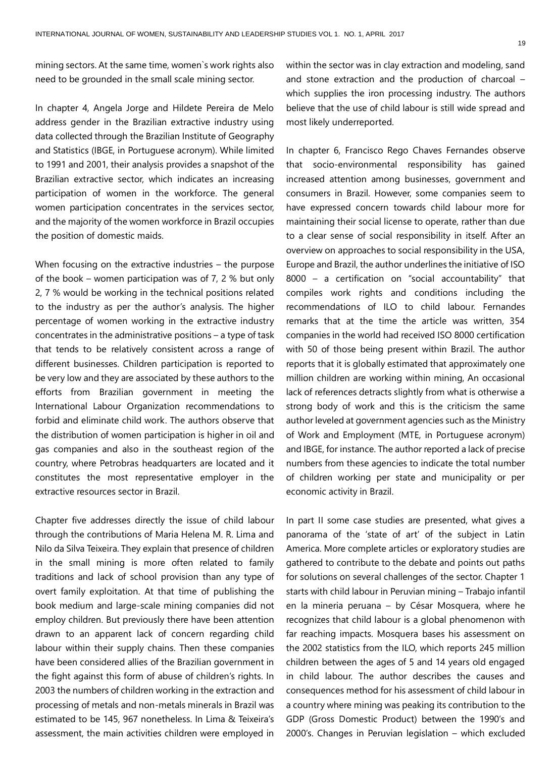mining sectors. At the same time, women`s work rights also need to be grounded in the small scale mining sector.

In chapter 4, Angela Jorge and Hildete Pereira de Melo address gender in the Brazilian extractive industry using data collected through the Brazilian Institute of Geography and Statistics (IBGE, in Portuguese acronym). While limited to 1991 and 2001, their analysis provides a snapshot of the Brazilian extractive sector, which indicates an increasing participation of women in the workforce. The general women participation concentrates in the services sector, and the majority of the women workforce in Brazil occupies the position of domestic maids.

When focusing on the extractive industries – the purpose of the book – women participation was of 7, 2 % but only 2, 7 % would be working in the technical positions related to the industry as per the author's analysis. The higher percentage of women working in the extractive industry concentrates in the administrative positions – a type of task that tends to be relatively consistent across a range of different businesses. Children participation is reported to be very low and they are associated by these authors to the efforts from Brazilian government in meeting the International Labour Organization recommendations to forbid and eliminate child work. The authors observe that the distribution of women participation is higher in oil and gas companies and also in the southeast region of the country, where Petrobras headquarters are located and it constitutes the most representative employer in the extractive resources sector in Brazil.

Chapter five addresses directly the issue of child labour through the contributions of Maria Helena M. R. Lima and Nilo da Silva Teixeira. They explain that presence of children in the small mining is more often related to family traditions and lack of school provision than any type of overt family exploitation. At that time of publishing the book medium and large-scale mining companies did not employ children. But previously there have been attention drawn to an apparent lack of concern regarding child labour within their supply chains. Then these companies have been considered allies of the Brazilian government in the fight against this form of abuse of children's rights. In 2003 the numbers of children working in the extraction and processing of metals and non-metals minerals in Brazil was estimated to be 145, 967 nonetheless. In Lima & Teixeira's assessment, the main activities children were employed in

within the sector was in clay extraction and modeling, sand and stone extraction and the production of charcoal – which supplies the iron processing industry. The authors believe that the use of child labour is still wide spread and most likely underreported.

In chapter 6, Francisco Rego Chaves Fernandes observe that socio-environmental responsibility has gained increased attention among businesses, government and consumers in Brazil. However, some companies seem to have expressed concern towards child labour more for maintaining their social license to operate, rather than due to a clear sense of social responsibility in itself. After an overview on approaches to social responsibility in the USA, Europe and Brazil, the author underlines the initiative of ISO 8000 – a certification on "social accountability" that compiles work rights and conditions including the recommendations of ILO to child labour. Fernandes remarks that at the time the article was written, 354 companies in the world had received ISO 8000 certification with 50 of those being present within Brazil. The author reports that it is globally estimated that approximately one million children are working within mining, An occasional lack of references detracts slightly from what is otherwise a strong body of work and this is the criticism the same author leveled at government agencies such as the Ministry of Work and Employment (MTE, in Portuguese acronym) and IBGE, for instance. The author reported a lack of precise numbers from these agencies to indicate the total number of children working per state and municipality or per economic activity in Brazil.

In part II some case studies are presented, what gives a panorama of the 'state of art' of the subject in Latin America. More complete articles or exploratory studies are gathered to contribute to the debate and points out paths for solutions on several challenges of the sector. Chapter 1 starts with child labour in Peruvian mining – Trabajo infantil en la mineria peruana – by César Mosquera, where he recognizes that child labour is a global phenomenon with far reaching impacts. Mosquera bases his assessment on the 2002 statistics from the ILO, which reports 245 million children between the ages of 5 and 14 years old engaged in child labour. The author describes the causes and consequences method for his assessment of child labour in a country where mining was peaking its contribution to the GDP (Gross Domestic Product) between the 1990's and 2000's. Changes in Peruvian legislation – which excluded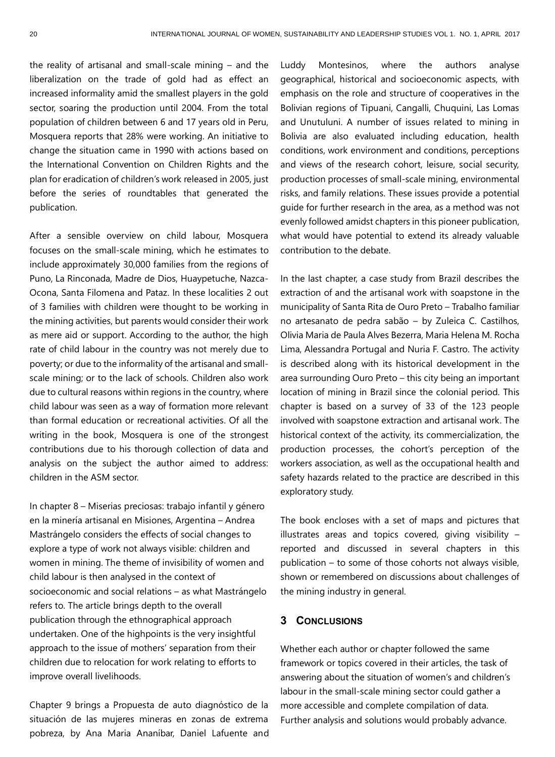the reality of artisanal and small-scale mining – and the liberalization on the trade of gold had as effect an increased informality amid the smallest players in the gold sector, soaring the production until 2004. From the total population of children between 6 and 17 years old in Peru, Mosquera reports that 28% were working. An initiative to change the situation came in 1990 with actions based on the International Convention on Children Rights and the plan for eradication of children's work released in 2005, just before the series of roundtables that generated the publication.

After a sensible overview on child labour, Mosquera focuses on the small-scale mining, which he estimates to include approximately 30,000 families from the regions of Puno, La Rinconada, Madre de Dios, Huaypetuche, Nazca-Ocona, Santa Filomena and Pataz. In these localities 2 out of 3 families with children were thought to be working in the mining activities, but parents would consider their work as mere aid or support. According to the author, the high rate of child labour in the country was not merely due to poverty; or due to the informality of the artisanal and smallscale mining; or to the lack of schools. Children also work due to cultural reasons within regions in the country, where child labour was seen as a way of formation more relevant than formal education or recreational activities. Of all the writing in the book, Mosquera is one of the strongest contributions due to his thorough collection of data and analysis on the subject the author aimed to address: children in the ASM sector.

In chapter 8 – Miserias preciosas: trabajo infantil y género en la minería artisanal en Misiones, Argentina – Andrea Mastrángelo considers the effects of social changes to explore a type of work not always visible: children and women in mining. The theme of invisibility of women and child labour is then analysed in the context of socioeconomic and social relations – as what Mastrángelo refers to. The article brings depth to the overall publication through the ethnographical approach undertaken. One of the highpoints is the very insightful approach to the issue of mothers' separation from their children due to relocation for work relating to efforts to improve overall livelihoods.

Chapter 9 brings a Propuesta de auto diagnóstico de la situación de las mujeres mineras en zonas de extrema pobreza, by Ana Maria Ananíbar, Daniel Lafuente and Luddy Montesinos, where the authors analyse geographical, historical and socioeconomic aspects, with emphasis on the role and structure of cooperatives in the Bolivian regions of Tipuani, Cangalli, Chuquini, Las Lomas and Unutuluni. A number of issues related to mining in Bolivia are also evaluated including education, health conditions, work environment and conditions, perceptions and views of the research cohort, leisure, social security, production processes of small-scale mining, environmental risks, and family relations. These issues provide a potential guide for further research in the area, as a method was not evenly followed amidst chapters in this pioneer publication, what would have potential to extend its already valuable contribution to the debate.

In the last chapter, a case study from Brazil describes the extraction of and the artisanal work with soapstone in the municipality of Santa Rita de Ouro Preto – Trabalho familiar no artesanato de pedra sabão – by Zuleica C. Castilhos, Olivia Maria de Paula Alves Bezerra, Maria Helena M. Rocha Lima, Alessandra Portugal and Nuria F. Castro. The activity is described along with its historical development in the area surrounding Ouro Preto – this city being an important location of mining in Brazil since the colonial period. This chapter is based on a survey of 33 of the 123 people involved with soapstone extraction and artisanal work. The historical context of the activity, its commercialization, the production processes, the cohort's perception of the workers association, as well as the occupational health and safety hazards related to the practice are described in this exploratory study.

The book encloses with a set of maps and pictures that illustrates areas and topics covered, giving visibility – reported and discussed in several chapters in this publication – to some of those cohorts not always visible, shown or remembered on discussions about challenges of the mining industry in general.

#### **3 CONCLUSIONS**

Whether each author or chapter followed the same framework or topics covered in their articles, the task of answering about the situation of women's and children's labour in the small-scale mining sector could gather a more accessible and complete compilation of data. Further analysis and solutions would probably advance.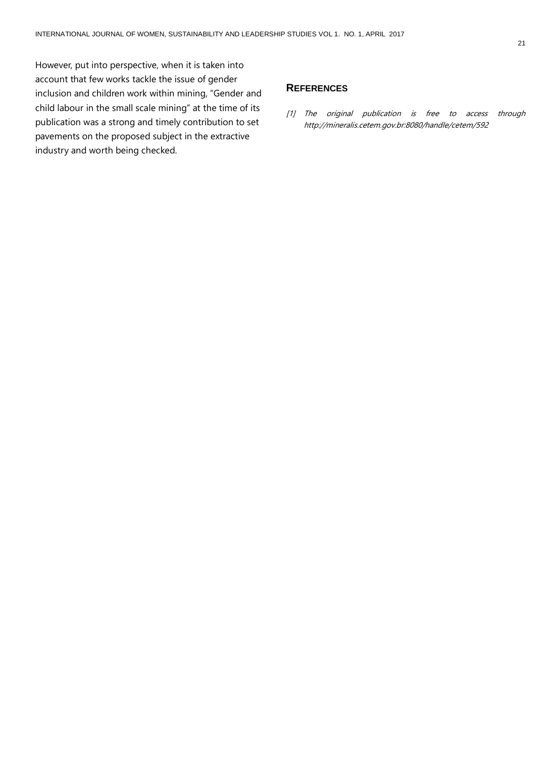However, put into perspective, when it is taken into account that few works tackle the issue of gender inclusion and children work within mining, "Gender and child labour in the small scale mining" at the time of its publication was a strong and timely contribution to set pavements on the proposed subject in the extractive industry and worth being checked.

#### **REFERENCES**

[1] The original publication is free to access through <http://mineralis.cetem.gov.br:8080/handle/cetem/592>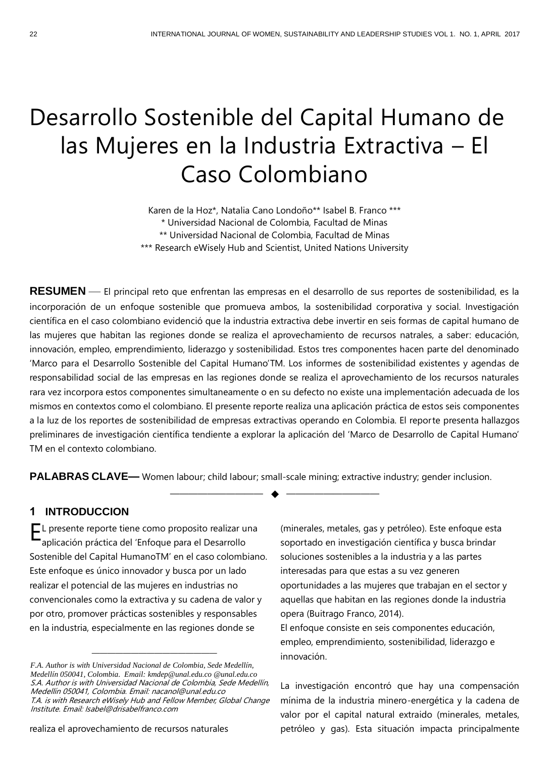## Desarrollo Sostenible del Capital Humano de las Mujeres en la Industria Extractiva – El Caso Colombiano

Karen de la Hoz\*, Natalia Cano Londoño\*\* Isabel B. Franco \*\*\* \* Universidad Nacional de Colombia, Facultad de Minas \*\* Universidad Nacional de Colombia, Facultad de Minas \*\*\* Research eWisely Hub and Scientist, United Nations University

**RESUMEN** — El principal reto que enfrentan las empresas en el desarrollo de sus reportes de sostenibilidad, es la incorporación de un enfoque sostenible que promueva ambos, la sostenibilidad corporativa y social. Investigación científica en el caso colombiano evidenció que la industria extractiva debe invertir en seis formas de capital humano de las mujeres que habitan las regiones donde se realiza el aprovechamiento de recursos natrales, a saber: educación, innovación, empleo, emprendimiento, liderazgo y sostenibilidad. Estos tres componentes hacen parte del denominado 'Marco para el Desarrollo Sostenible del Capital Humano'TM. Los informes de sostenibilidad existentes y agendas de responsabilidad social de las empresas en las regiones donde se realiza el aprovechamiento de los recursos naturales rara vez incorpora estos componentes simultaneamente o en su defecto no existe una implementación adecuada de los mismos en contextos como el colombiano. El presente reporte realiza una aplicación práctica de estos seis componentes a la luz de los reportes de sostenibilidad de empresas extractivas operando en Colombia. El reporte presenta hallazgos preliminares de investigación científica tendiente a explorar la aplicación del 'Marco de Desarrollo de Capital Humano' TM en el contexto colombiano.

**PALABRAS CLAVE—** Women labour; child labour; small-scale mining; extractive industry; gender inclusion.

—————————— ◆ ——————————

## **1 INTRODUCCION**

EL presente reporte tiene como proposito realizar una<br>Caplicación práctica del 'Enfoque para el Desarrollo aplicación práctica del 'Enfoque para el Desarrollo Sostenible del Capital HumanoTM' en el caso colombiano. Este enfoque es único innovador y busca por un lado realizar el potencial de las mujeres en industrias no convencionales como la extractiva y su cadena de valor y por otro, promover prácticas sostenibles y responsables en la industria, especialmente en las regiones donde se

(minerales, metales, gas y petróleo). Este enfoque esta soportado en investigación científica y busca brindar soluciones sostenibles a la industria y a las partes interesadas para que estas a su vez generen oportunidades a las mujeres que trabajan en el sector y aquellas que habitan en las regiones donde la industria opera (Buitrago Franco, 2014).

El enfoque consiste en seis componentes educación, empleo, emprendimiento, sostenibilidad, liderazgo e innovación.

La investigación encontró que hay una compensación mínima de la industria minero-energética y la cadena de valor por el capital natural extraido (minerales, metales, petróleo y gas). Esta situación impacta principalmente

*F.A. Author is with Universidad Nacional de Colombia, Sede Medellín, Medellín 050041, Colombia. Email: kmdep@unal.edu.co @unal.edu.co* S.A. Author is with Universidad Nacional de Colombia, Sede Medellín, Medellín 050041, Colombia. Email: nacanol@unal.edu.co T.A. is with Research eWisely Hub and Fellow Member, Global Change Institute. Email: Isabel@drisabelfranco.com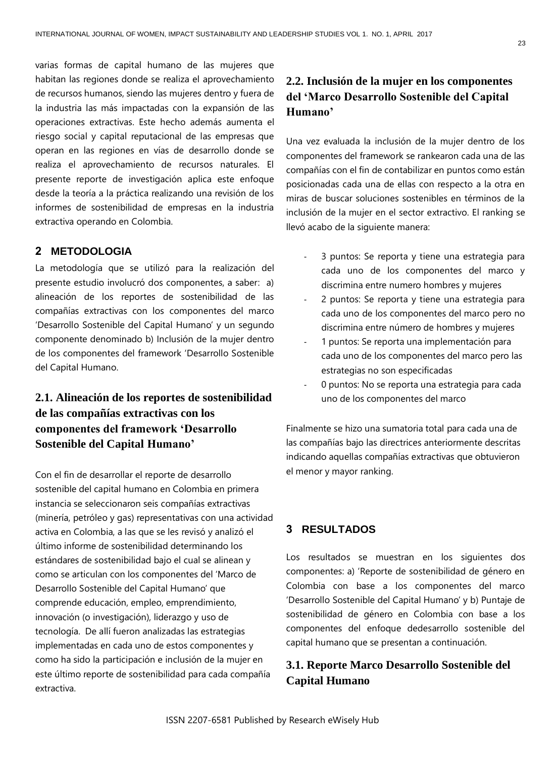varias formas de capital humano de las mujeres que habitan las regiones donde se realiza el aprovechamiento de recursos humanos, siendo las mujeres dentro y fuera de la industria las más impactadas con la expansión de las operaciones extractivas. Este hecho además aumenta el riesgo social y capital reputacional de las empresas que operan en las regiones en vías de desarrollo donde se realiza el aprovechamiento de recursos naturales. El presente reporte de investigación aplica este enfoque desde la teoría a la práctica realizando una revisión de los informes de sostenibilidad de empresas en la industria extractiva operando en Colombia.

## **2 METODOLOGIA**

La metodología que se utilizó para la realización del presente estudio involucró dos componentes, a saber: a) alineación de los reportes de sostenibilidad de las compañías extractivas con los componentes del marco 'Desarrollo Sostenible del Capital Humano' y un segundo componente denominado b) Inclusión de la mujer dentro de los componentes del framework 'Desarrollo Sostenible del Capital Humano.

## **2.1. Alineación de los reportes de sostenibilidad de las compañías extractivas con los componentes del framework 'Desarrollo Sostenible del Capital Humano'**

Con el fin de desarrollar el reporte de desarrollo sostenible del capital humano en Colombia en primera instancia se seleccionaron seis compañías extractivas (minería, petróleo y gas) representativas con una actividad activa en Colombia, a las que se les revisó y analizó el último informe de sostenibilidad determinando los estándares de sostenibilidad bajo el cual se alinean y como se articulan con los componentes del 'Marco de Desarrollo Sostenible del Capital Humano' que comprende educación, empleo, emprendimiento, innovación (o investigación), liderazgo y uso de tecnología. De allí fueron analizadas las estrategias implementadas en cada uno de estos componentes y como ha sido la participación e inclusión de la mujer en este último reporte de sostenibilidad para cada compañía extractiva.

## **2.2. Inclusión de la mujer en los componentes del 'Marco Desarrollo Sostenible del Capital Humano'**

Una vez evaluada la inclusión de la mujer dentro de los componentes del framework se rankearon cada una de las compañías con el fin de contabilizar en puntos como están posicionadas cada una de ellas con respecto a la otra en miras de buscar soluciones sostenibles en términos de la inclusión de la mujer en el sector extractivo. El ranking se llevó acabo de la siguiente manera:

- 3 puntos: Se reporta y tiene una estrategia para cada uno de los componentes del marco y discrimina entre numero hombres y mujeres
- 2 puntos: Se reporta y tiene una estrategia para cada uno de los componentes del marco pero no discrimina entre número de hombres y mujeres
- 1 puntos: Se reporta una implementación para cada uno de los componentes del marco pero las estrategias no son especificadas
- 0 puntos: No se reporta una estrategia para cada uno de los componentes del marco

Finalmente se hizo una sumatoria total para cada una de las compañías bajo las directrices anteriormente descritas indicando aquellas compañías extractivas que obtuvieron el menor y mayor ranking.

## **3 RESULTADOS**

Los resultados se muestran en los siguientes dos componentes: a) 'Reporte de sostenibilidad de género en Colombia con base a los componentes del marco 'Desarrollo Sostenible del Capital Humano' y b) Puntaje de sostenibilidad de género en Colombia con base a los componentes del enfoque dedesarrollo sostenible del capital humano que se presentan a continuación.

## **3.1. Reporte Marco Desarrollo Sostenible del Capital Humano**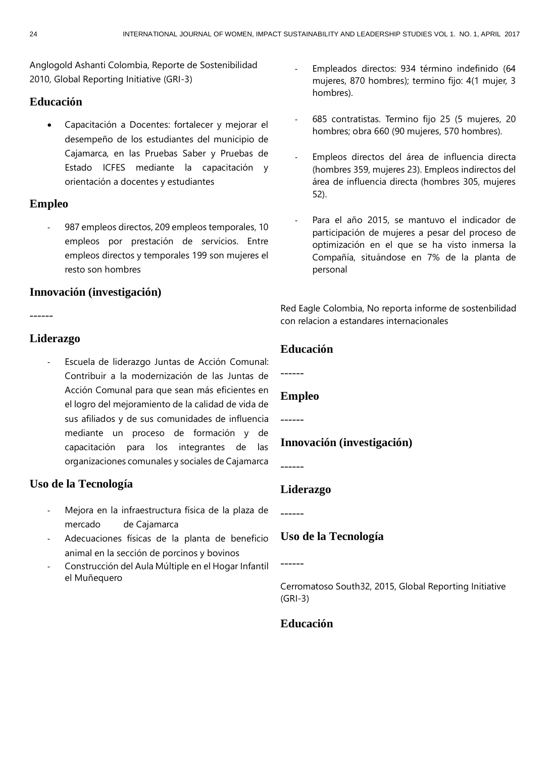Anglogold Ashanti Colombia, Reporte de Sostenibilidad 2010, Global Reporting Initiative (GRI-3)

## **Educación**

• Capacitación a Docentes: fortalecer y mejorar el desempeño de los estudiantes del municipio de Cajamarca, en las Pruebas Saber y Pruebas de Estado ICFES mediante la capacitación y orientación a docentes y estudiantes

## **Empleo**

987 empleos directos, 209 empleos temporales, 10 empleos por prestación de servicios. Entre empleos directos y temporales 199 son mujeres el resto son hombres

## **Innovación (investigación)**

------

## **Liderazgo**

Escuela de liderazgo Juntas de Acción Comunal: Contribuir a la modernización de las Juntas de Acción Comunal para que sean más eficientes en el logro del mejoramiento de la calidad de vida de sus afiliados y de sus comunidades de influencia mediante un proceso de formación y de capacitación para los integrantes de las organizaciones comunales y sociales de Cajamarca

## **Uso de la Tecnología**

- Mejora en la infraestructura física de la plaza de mercado de Cajamarca
- Adecuaciones físicas de la planta de beneficio animal en la sección de porcinos y bovinos
- Construcción del Aula Múltiple en el Hogar Infantil el Muñequero
- Empleados directos: 934 término indefinido (64 mujeres, 870 hombres); termino fijo: 4(1 mujer, 3 hombres).
- 685 contratistas. Termino fijo 25 (5 mujeres, 20 hombres; obra 660 (90 mujeres, 570 hombres).
- Empleos directos del área de influencia directa (hombres 359, mujeres 23). Empleos indirectos del área de influencia directa (hombres 305, mujeres 52).
- Para el año 2015, se mantuvo el indicador de participación de mujeres a pesar del proceso de optimización en el que se ha visto inmersa la Compañía, situándose en 7% de la planta de personal

Red Eagle Colombia, No reporta informe de sostenbilidad con relacion a estandares internacionales

## **Educación**

------

## **Empleo**

------

## **Innovación (investigación)**

------

## **Liderazgo**

## **Uso de la Tecnología**

------

Cerromatoso South32, 2015, Global Reporting Initiative (GRI-3)

## **Educación**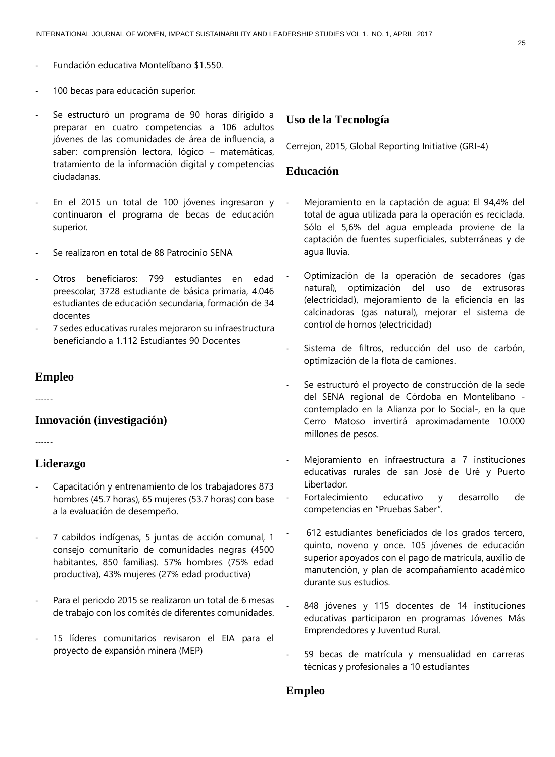- Fundación educativa Montelíbano \$1.550.
- 100 becas para educación superior.
- Se estructuró un programa de 90 horas dirigido a preparar en cuatro competencias a 106 adultos jóvenes de las comunidades de área de influencia, a saber: comprensión lectora, lógico – matemáticas, tratamiento de la información digital y competencias ciudadanas.
- En el 2015 un total de 100 jóvenes ingresaron y continuaron el programa de becas de educación superior.
- Se realizaron en total de 88 Patrocinio SENA
- Otros beneficiaros: 799 estudiantes en edad preescolar, 3728 estudiante de básica primaria, 4.046 estudiantes de educación secundaria, formación de 34 docentes
- 7 sedes educativas rurales mejoraron su infraestructura beneficiando a 1.112 Estudiantes 90 Docentes

#### **Empleo**

------

#### **Innovación (investigación)**

------

## **Liderazgo**

- Capacitación y entrenamiento de los trabajadores 873 hombres (45.7 horas), 65 mujeres (53.7 horas) con base a la evaluación de desempeño.
- 7 cabildos indígenas, 5 juntas de acción comunal, 1 consejo comunitario de comunidades negras (4500 habitantes, 850 familias). 57% hombres (75% edad productiva), 43% mujeres (27% edad productiva)
- Para el periodo 2015 se realizaron un total de 6 mesas de trabajo con los comités de diferentes comunidades.
- 15 líderes comunitarios revisaron el EIA para el proyecto de expansión minera (MEP)

### **Uso de la Tecnología**

Cerrejon, 2015, Global Reporting Initiative (GRI-4)

## **Educación**

- Mejoramiento en la captación de agua: El 94,4% del total de agua utilizada para la operación es reciclada. Sólo el 5,6% del agua empleada proviene de la captación de fuentes superficiales, subterráneas y de agua lluvia.
- Optimización de la operación de secadores (gas natural), optimización del uso de extrusoras (electricidad), mejoramiento de la eficiencia en las calcinadoras (gas natural), mejorar el sistema de control de hornos (electricidad)
- Sistema de filtros, reducción del uso de carbón, optimización de la flota de camiones.
- Se estructuró el proyecto de construcción de la sede del SENA regional de Córdoba en Montelíbano contemplado en la Alianza por lo Social-, en la que Cerro Matoso invertirá aproximadamente 10.000 millones de pesos.
- Mejoramiento en infraestructura a 7 instituciones educativas rurales de san José de Uré y Puerto Libertador.
- Fortalecimiento educativo y desarrollo de competencias en "Pruebas Saber".
- 612 estudiantes beneficiados de los grados tercero, quinto, noveno y once. 105 jóvenes de educación superior apoyados con el pago de matrícula, auxilio de manutención, y plan de acompañamiento académico durante sus estudios.
- 848 jóvenes y 115 docentes de 14 instituciones educativas participaron en programas Jóvenes Más Emprendedores y Juventud Rural.
- 59 becas de matrícula y mensualidad en carreras técnicas y profesionales a 10 estudiantes

### **Empleo**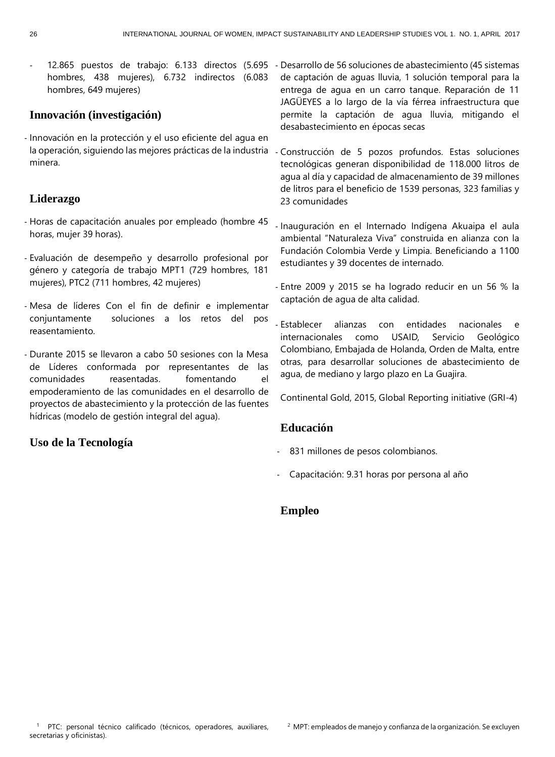hombres, 438 mujeres), 6.732 indirectos (6.083 hombres, 649 mujeres)

## **Innovación (investigación)**

- Innovación en la protección y el uso eficiente del agua en la operación, siguiendo las mejores prácticas de la industria minera.

## **Liderazgo**

- Horas de capacitación anuales por empleado (hombre 45 horas, mujer 39 horas).
- Evaluación de desempeño y desarrollo profesional por género y categoría de trabajo MPT1 (729 hombres, 181 mujeres), PTC2 (711 hombres, 42 mujeres)
- Mesa de líderes Con el fin de definir e implementar conjuntamente soluciones a los retos del pos reasentamiento.
- Durante 2015 se llevaron a cabo 50 sesiones con la Mesa de Líderes conformada por representantes de las comunidades reasentadas. fomentando el empoderamiento de las comunidades en el desarrollo de proyectos de abastecimiento y la protección de las fuentes hídricas (modelo de gestión integral del agua).

## **Uso de la Tecnología**

- 12.865 puestos de trabajo: 6.133 directos (5.695 - Desarrollo de 56 soluciones de abastecimiento (45 sistemas de captación de aguas lluvia, 1 solución temporal para la entrega de agua en un carro tanque. Reparación de 11 JAGÜEYES a lo largo de la vía férrea infraestructura que permite la captación de agua lluvia, mitigando el desabastecimiento en épocas secas

> Construcción de 5 pozos profundos. Estas soluciones tecnológicas generan disponibilidad de 118.000 litros de agua al día y capacidad de almacenamiento de 39 millones de litros para el beneficio de 1539 personas, 323 familias y 23 comunidades

- Inauguración en el Internado Indígena Akuaipa el aula ambiental "Naturaleza Viva" construida en alianza con la Fundación Colombia Verde y Limpia. Beneficiando a 1100 estudiantes y 39 docentes de internado.

- Entre 2009 y 2015 se ha logrado reducir en un 56 % la captación de agua de alta calidad.

- Establecer alianzas con entidades nacionales e internacionales como USAID, Servicio Geológico Colombiano, Embajada de Holanda, Orden de Malta, entre otras, para desarrollar soluciones de abastecimiento de agua, de mediano y largo plazo en La Guajira.

Continental Gold, 2015, Global Reporting initiative (GRI-4)

## **Educación**

- 831 millones de pesos colombianos.
- Capacitación: 9.31 horas por persona al año

## **Empleo**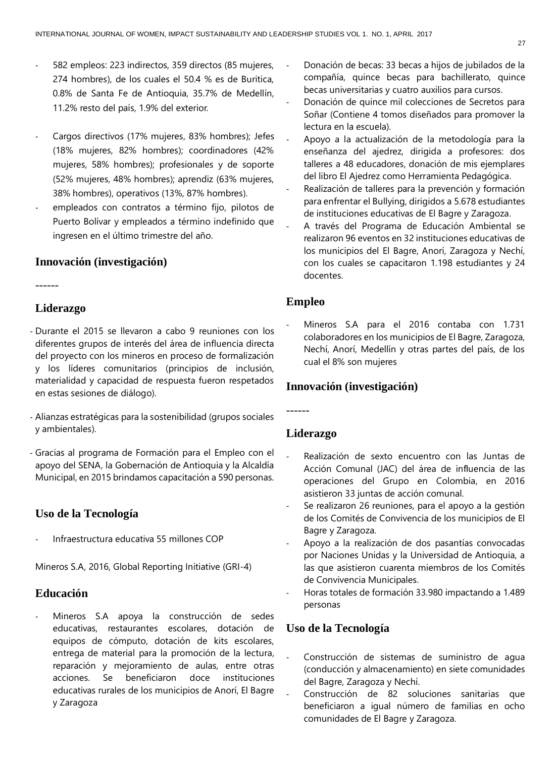- 582 empleos: 223 indirectos, 359 directos (85 mujeres, 274 hombres), de los cuales el 50.4 % es de Buritica, 0.8% de Santa Fe de Antioquia, 35.7% de Medellín, 11.2% resto del país, 1.9% del exterior.
- Cargos directivos (17% mujeres, 83% hombres); Jefes (18% mujeres, 82% hombres); coordinadores (42% mujeres, 58% hombres); profesionales y de soporte (52% mujeres, 48% hombres); aprendiz (63% mujeres, 38% hombres), operativos (13%, 87% hombres).
- empleados con contratos a término fijo, pilotos de Puerto Bolívar y empleados a término indefinido que ingresen en el último trimestre del año.

## **Innovación (investigación)**

------

## **Liderazgo**

- Durante el 2015 se llevaron a cabo 9 reuniones con los diferentes grupos de interés del área de influencia directa del proyecto con los mineros en proceso de formalización y los líderes comunitarios (principios de inclusión, materialidad y capacidad de respuesta fueron respetados en estas sesiones de diálogo).
- Alianzas estratégicas para la sostenibilidad (grupos sociales y ambientales).
- Gracias al programa de Formación para el Empleo con el apoyo del SENA, la Gobernación de Antioquia y la Alcaldía Municipal, en 2015 brindamos capacitación a 590 personas.

## **Uso de la Tecnología**

- Infraestructura educativa 55 millones COP

Mineros S.A, 2016, Global Reporting Initiative (GRI-4)

## **Educación**

Mineros S.A apoya la construcción de sedes educativas, restaurantes escolares, dotación de equipos de cómputo, dotación de kits escolares, entrega de material para la promoción de la lectura, reparación y mejoramiento de aulas, entre otras acciones. Se beneficiaron doce instituciones educativas rurales de los municipios de Anorí, El Bagre y Zaragoza

- Donación de becas: 33 becas a hijos de jubilados de la compañía, quince becas para bachillerato, quince becas universitarias y cuatro auxilios para cursos.
- Donación de quince mil colecciones de Secretos para Soñar (Contiene 4 tomos diseñados para promover la lectura en la escuela).
- Apoyo a la actualización de la metodología para la enseñanza del ajedrez, dirigida a profesores: dos talleres a 48 educadores, donación de mis ejemplares del libro El Ajedrez como Herramienta Pedagógica.
- Realización de talleres para la prevención y formación para enfrentar el Bullying, dirigidos a 5.678 estudiantes de instituciones educativas de El Bagre y Zaragoza.
- A través del Programa de Educación Ambiental se realizaron 96 eventos en 32 instituciones educativas de los municipios del El Bagre, Anorí, Zaragoza y Nechí, con los cuales se capacitaron 1.198 estudiantes y 24 docentes.

## **Empleo**

Mineros S.A para el 2016 contaba con 1.731 colaboradores en los municipios de El Bagre, Zaragoza, Nechí, Anorí, Medellín y otras partes del país, de los cual el 8% son mujeres

## **Innovación (investigación)**

**Liderazgo**

------

- Realización de sexto encuentro con las Juntas de Acción Comunal (JAC) del área de influencia de las operaciones del Grupo en Colombia, en 2016 asistieron 33 juntas de acción comunal.
- Se realizaron 26 reuniones, para el apoyo a la gestión de los Comités de Convivencia de los municipios de El Bagre y Zaragoza.
- Apoyo a la realización de dos pasantías convocadas por Naciones Unidas y la Universidad de Antioquia, a las que asistieron cuarenta miembros de los Comités de Convivencia Municipales.
- Horas totales de formación 33.980 impactando a 1.489 personas

#### **Uso de la Tecnología**

- Construcción de sistemas de suministro de agua (conducción y almacenamiento) en siete comunidades del Bagre, Zaragoza y Nechí.
- Construcción de 82 soluciones sanitarias que beneficiaron a igual número de familias en ocho comunidades de El Bagre y Zaragoza.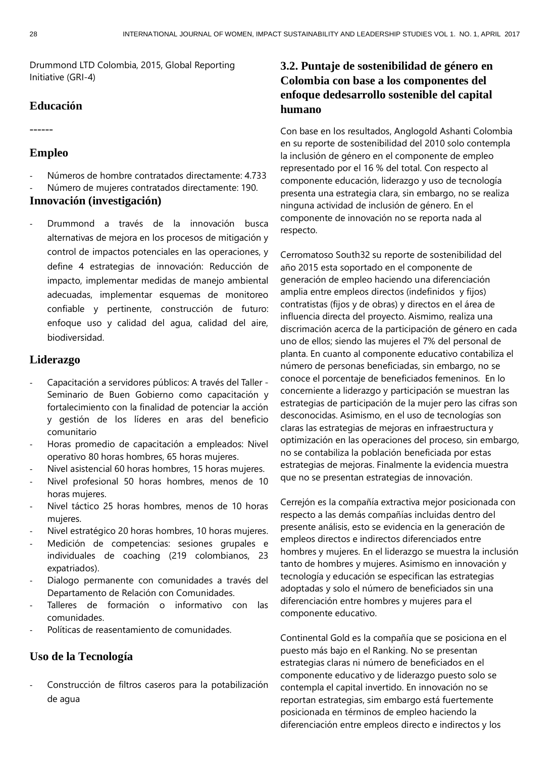Drummond LTD Colombia, 2015, Global Reporting Initiative (GRI-4)

## **Educación**

------

## **Empleo**

Números de hombre contratados directamente: 4.733 Número de mujeres contratados directamente: 190.

#### **Innovación (investigación)**

Drummond a través de la innovación busca alternativas de mejora en los procesos de mitigación y control de impactos potenciales en las operaciones, y define 4 estrategias de innovación: Reducción de impacto, implementar medidas de manejo ambiental adecuadas, implementar esquemas de monitoreo confiable y pertinente, construcción de futuro: enfoque uso y calidad del agua, calidad del aire, biodiversidad.

#### **Liderazgo**

- Capacitación a servidores públicos: A través del Taller Seminario de Buen Gobierno como capacitación y fortalecimiento con la finalidad de potenciar la acción y gestión de los líderes en aras del beneficio comunitario
- Horas promedio de capacitación a empleados: Nivel operativo 80 horas hombres, 65 horas mujeres.
- Nivel asistencial 60 horas hombres, 15 horas mujeres.
- Nivel profesional 50 horas hombres, menos de 10 horas mujeres.
- Nivel táctico 25 horas hombres, menos de 10 horas mujeres.
- Nivel estratégico 20 horas hombres, 10 horas mujeres.
- Medición de competencias: sesiones grupales e individuales de coaching (219 colombianos, 23 expatriados).
- Dialogo permanente con comunidades a través del Departamento de Relación con Comunidades.
- Talleres de formación o informativo con las comunidades.
- Políticas de reasentamiento de comunidades.

## **Uso de la Tecnología**

Construcción de filtros caseros para la potabilización de agua

## **3.2. Puntaje de sostenibilidad de género en Colombia con base a los componentes del enfoque dedesarrollo sostenible del capital humano**

Con base en los resultados, Anglogold Ashanti Colombia en su reporte de sostenibilidad del 2010 solo contempla la inclusión de género en el componente de empleo representado por el 16 % del total. Con respecto al componente educación, liderazgo y uso de tecnología presenta una estrategia clara, sin embargo, no se realiza ninguna actividad de inclusión de género. En el componente de innovación no se reporta nada al respecto.

Cerromatoso South32 su reporte de sostenibilidad del año 2015 esta soportado en el componente de generación de empleo haciendo una diferenciación amplia entre empleos directos (indefinidos y fijos) contratistas (fijos y de obras) y directos en el área de influencia directa del proyecto. Aismimo, realiza una discrimación acerca de la participación de género en cada uno de ellos; siendo las mujeres el 7% del personal de planta. En cuanto al componente educativo contabiliza el número de personas beneficiadas, sin embargo, no se conoce el porcentaje de beneficiados femeninos. En lo concerniente a liderazgo y participación se muestran las estrategias de participación de la mujer pero las cifras son desconocidas. Asimismo, en el uso de tecnologías son claras las estrategias de mejoras en infraestructura y optimización en las operaciones del proceso, sin embargo, no se contabiliza la población beneficiada por estas estrategias de mejoras. Finalmente la evidencia muestra que no se presentan estrategias de innovación.

Cerrejón es la compañía extractiva mejor posicionada con respecto a las demás compañías incluidas dentro del presente análisis, esto se evidencia en la generación de empleos directos e indirectos diferenciados entre hombres y mujeres. En el liderazgo se muestra la inclusión tanto de hombres y mujeres. Asimismo en innovación y tecnología y educación se especifican las estrategias adoptadas y solo el número de beneficiados sin una diferenciación entre hombres y mujeres para el componente educativo.

Continental Gold es la compañía que se posiciona en el puesto más bajo en el Ranking. No se presentan estrategias claras ni número de beneficiados en el componente educativo y de liderazgo puesto solo se contempla el capital invertido. En innovación no se reportan estrategias, sim embargo está fuertemente posicionada en términos de empleo haciendo la diferenciación entre empleos directo e indirectos y los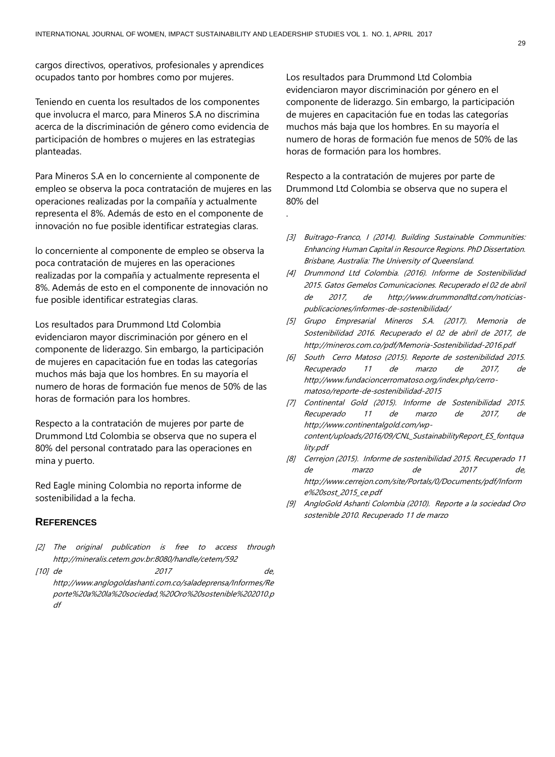.

cargos directivos, operativos, profesionales y aprendices ocupados tanto por hombres como por mujeres.

Teniendo en cuenta los resultados de los componentes que involucra el marco, para Mineros S.A no discrimina acerca de la discriminación de género como evidencia de participación de hombres o mujeres en las estrategias planteadas.

Para Mineros S.A en lo concerniente al componente de empleo se observa la poca contratación de mujeres en las operaciones realizadas por la compañía y actualmente representa el 8%. Además de esto en el componente de innovación no fue posible identificar estrategias claras.

lo concerniente al componente de empleo se observa la poca contratación de mujeres en las operaciones realizadas por la compañía y actualmente representa el 8%. Además de esto en el componente de innovación no fue posible identificar estrategias claras.

Los resultados para Drummond Ltd Colombia evidenciaron mayor discriminación por género en el componente de liderazgo. Sin embargo, la participación de mujeres en capacitación fue en todas las categorías muchos más baja que los hombres. En su mayoría el numero de horas de formación fue menos de 50% de las horas de formación para los hombres.

Respecto a la contratación de mujeres por parte de Drummond Ltd Colombia se observa que no supera el 80% del personal contratado para las operaciones en mina y puerto.

Red Eagle mining Colombia no reporta informe de sostenibilidad a la fecha.

#### **REFERENCES**

- [2] The original publication is free to access through <http://mineralis.cetem.gov.br:8080/handle/cetem/592>
- [10] de 2017 de, [http://www.anglogoldashanti.com.co/saladeprensa/Informes/Re](http://www.anglogoldashanti.com.co/saladeprensa/Informes/Reporte%20a%20la%20sociedad,%20Oro%20sostenible%202010.pdf) [porte%20a%20la%20sociedad,%20Oro%20sostenible%202010.p](http://www.anglogoldashanti.com.co/saladeprensa/Informes/Reporte%20a%20la%20sociedad,%20Oro%20sostenible%202010.pdf) [df](http://www.anglogoldashanti.com.co/saladeprensa/Informes/Reporte%20a%20la%20sociedad,%20Oro%20sostenible%202010.pdf)

Los resultados para Drummond Ltd Colombia evidenciaron mayor discriminación por género en el componente de liderazgo. Sin embargo, la participación de mujeres en capacitación fue en todas las categorías muchos más baja que los hombres. En su mayoría el numero de horas de formación fue menos de 50% de las horas de formación para los hombres.

Respecto a la contratación de mujeres por parte de Drummond Ltd Colombia se observa que no supera el 80% del

- [3] Buitrago-Franco, I (2014). Building Sustainable Communities: Enhancing Human Capital in Resource Regions. PhD Dissertation. Brisbane, Australia: The University of Queensland.
- [4] Drummond Ltd Colombia. (2016). Informe de Sostenibilidad 2015. Gatos Gemelos Comunicaciones. Recuperado el 02 de abril de 2017, de http://www.drummondltd.com/noticiaspublicaciones/informes-de-sostenibilidad/
- [5] Grupo Empresarial Mineros S.A. (2017). Memoria de Sostenibilidad 2016. Recuperado el 02 de abril de 2017, de http://mineros.com.co/pdf/Memoria-Sostenibilidad-2016.pdf
- [6] South Cerro Matoso (2015). Reporte de sostenibilidad 2015. Recuperado 11 de marzo de 2017, de http://www.fundacioncerromatoso.org/index.php/cerromatoso/reporte-de-sostenibilidad-2015
- [7] Continental Gold (2015). Informe de Sostenibilidad 2015. Recuperado 11 de marzo de 2017, de http://www.continentalgold.com/wpcontent/uploads/2016/09/CNL\_SustainabilityReport\_ES\_fontqua lity.pdf
- [8] Cerrejon (2015). Informe de sostenibilidad 2015. Recuperado 11 de marzo de 2017 de, http://www.cerrejon.com/site/Portals/0/Documents/pdf/Inform e%20sost\_2015\_ce.pdf
- [9] AngloGold Ashanti Colombia (2010). Reporte a la sociedad Oro sostenible 2010. Recuperado 11 de marzo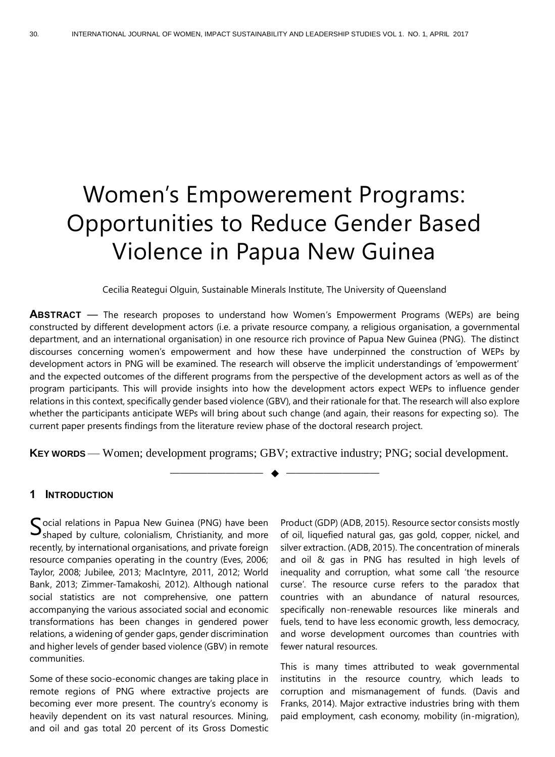## Women's Empowerement Programs: Opportunities to Reduce Gender Based Violence in Papua New Guinea

Cecilia Reategui Olguin, Sustainable Minerals Institute, The University of Queensland

**ABSTRACT** — The research proposes to understand how Women's Empowerment Programs (WEPs) are being constructed by different development actors (i.e. a private resource company, a religious organisation, a governmental department, and an international organisation) in one resource rich province of Papua New Guinea (PNG). The distinct discourses concerning women's empowerment and how these have underpinned the construction of WEPs by development actors in PNG will be examined. The research will observe the implicit understandings of 'empowerment' and the expected outcomes of the different programs from the perspective of the development actors as well as of the program participants. This will provide insights into how the development actors expect WEPs to influence gender relations in this context, specifically gender based violence (GBV), and their rationale for that. The research will also explore whether the participants anticipate WEPs will bring about such change (and again, their reasons for expecting so). The current paper presents findings from the literature review phase of the doctoral research project.

**KEY WORDS** — Women; development programs; GBV; extractive industry; PNG; social development.

—————————— ◆ ——————————

### **1 INTRODUCTION**

Social relations in Papua New Guinea (PNG) have been<br>Shaped by culture, colonialism, Christianity, and more  $\mathbf{J}_{\text{shaped}}$  by culture, colonialism, Christianity, and more recently, by international organisations, and private foreign resource companies operating in the country (Eves, 2006; Taylor, 2008; Jubilee, 2013; MacIntyre, 2011, 2012; World Bank, 2013; Zimmer-Tamakoshi, 2012). Although national social statistics are not comprehensive, one pattern accompanying the various associated social and economic transformations has been changes in gendered power relations, a widening of gender gaps, gender discrimination and higher levels of gender based violence (GBV) in remote communities.

Some of these socio-economic changes are taking place in remote regions of PNG where extractive projects are becoming ever more present. The country's economy is heavily dependent on its vast natural resources. Mining, and oil and gas total 20 percent of its Gross Domestic

Product (GDP) (ADB, 2015). Resource sector consists mostly of oil, liquefied natural gas, gas gold, copper, nickel, and silver extraction. (ADB, 2015). The concentration of minerals and oil & gas in PNG has resulted in high levels of inequality and corruption, what some call 'the resource curse'. The resource curse refers to the paradox that countries with an abundance of natural resources, specifically non-renewable resources like minerals and fuels, tend to have less economic growth, less democracy, and worse development ourcomes than countries with fewer natural resources.

This is many times attributed to weak governmental institutins in the resource country, which leads to corruption and mismanagement of funds. (Davis and Franks, 2014). Major extractive industries bring with them paid employment, cash economy, mobility (in-migration),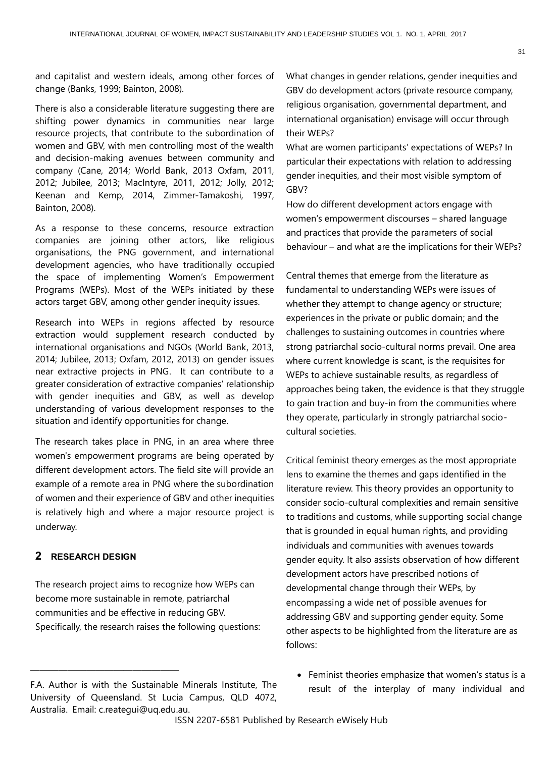and capitalist and western ideals, among other forces of change (Banks, 1999; Bainton, 2008).

There is also a considerable literature suggesting there are shifting power dynamics in communities near large resource projects, that contribute to the subordination of women and GBV, with men controlling most of the wealth and decision-making avenues between community and company (Cane, 2014; World Bank, 2013 Oxfam, 2011, 2012; Jubilee, 2013; MacIntyre, 2011, 2012; Jolly, 2012; Keenan and Kemp, 2014, Zimmer-Tamakoshi, 1997, Bainton, 2008).

As a response to these concerns, resource extraction companies are joining other actors, like religious organisations, the PNG government, and international development agencies, who have traditionally occupied the space of implementing Women's Empowerment Programs (WEPs). Most of the WEPs initiated by these actors target GBV, among other gender inequity issues.

Research into WEPs in regions affected by resource extraction would supplement research conducted by international organisations and NGOs (World Bank, 2013, 2014; Jubilee, 2013; Oxfam, 2012, 2013) on gender issues near extractive projects in PNG. It can contribute to a greater consideration of extractive companies' relationship with gender inequities and GBV, as well as develop understanding of various development responses to the situation and identify opportunities for change.

The research takes place in PNG, in an area where three women's empowerment programs are being operated by different development actors. The field site will provide an example of a remote area in PNG where the subordination of women and their experience of GBV and other inequities is relatively high and where a major resource project is underway.

## **2 RESEARCH DESIGN**

————————————————

The research project aims to recognize how WEPs can become more sustainable in remote, patriarchal communities and be effective in reducing GBV. Specifically, the research raises the following questions: What changes in gender relations, gender inequities and GBV do development actors (private resource company, religious organisation, governmental department, and international organisation) envisage will occur through their WEPs?

What are women participants' expectations of WEPs? In particular their expectations with relation to addressing gender inequities, and their most visible symptom of GBV?

How do different development actors engage with women's empowerment discourses – shared language and practices that provide the parameters of social behaviour – and what are the implications for their WEPs?

Central themes that emerge from the literature as fundamental to understanding WEPs were issues of whether they attempt to change agency or structure; experiences in the private or public domain; and the challenges to sustaining outcomes in countries where strong patriarchal socio-cultural norms prevail. One area where current knowledge is scant, is the requisites for WEPs to achieve sustainable results, as regardless of approaches being taken, the evidence is that they struggle to gain traction and buy-in from the communities where they operate, particularly in strongly patriarchal sociocultural societies.

Critical feminist theory emerges as the most appropriate lens to examine the themes and gaps identified in the literature review. This theory provides an opportunity to consider socio-cultural complexities and remain sensitive to traditions and customs, while supporting social change that is grounded in equal human rights, and providing individuals and communities with avenues towards gender equity. It also assists observation of how different development actors have prescribed notions of developmental change through their WEPs, by encompassing a wide net of possible avenues for addressing GBV and supporting gender equity. Some other aspects to be highlighted from the literature are as follows:

• Feminist theories emphasize that women's status is a result of the interplay of many individual and

F.A. Author is with the Sustainable Minerals Institute, The University of Queensland. St Lucia Campus, QLD 4072, Australia. Email: c.reategui@uq.edu.au.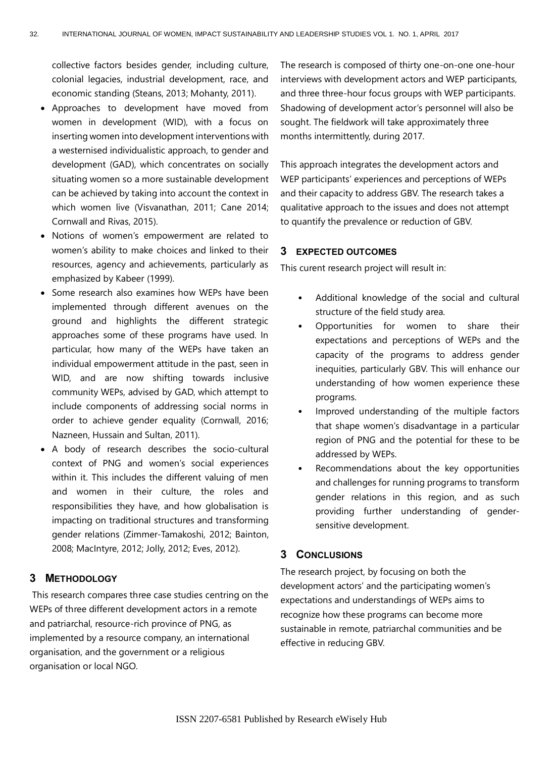collective factors besides gender, including culture, colonial legacies, industrial development, race, and economic standing (Steans, 2013; Mohanty, 2011).

- Approaches to development have moved from women in development (WID), with a focus on inserting women into development interventions with a westernised individualistic approach, to gender and development (GAD), which concentrates on socially situating women so a more sustainable development can be achieved by taking into account the context in which women live (Visvanathan, 2011; Cane 2014; Cornwall and Rivas, 2015).
- Notions of women's empowerment are related to women's ability to make choices and linked to their resources, agency and achievements, particularly as emphasized by Kabeer (1999).
- Some research also examines how WEPs have been implemented through different avenues on the ground and highlights the different strategic approaches some of these programs have used. In particular, how many of the WEPs have taken an individual empowerment attitude in the past, seen in WID, and are now shifting towards inclusive community WEPs, advised by GAD, which attempt to include components of addressing social norms in order to achieve gender equality (Cornwall, 2016; Nazneen, Hussain and Sultan, 2011).
- A body of research describes the socio-cultural context of PNG and women's social experiences within it. This includes the different valuing of men and women in their culture, the roles and responsibilities they have, and how globalisation is impacting on traditional structures and transforming gender relations (Zimmer-Tamakoshi, 2012; Bainton, 2008; MacIntyre, 2012; Jolly, 2012; Eves, 2012).

### **3 METHODOLOGY**

This research compares three case studies centring on the WEPs of three different development actors in a remote and patriarchal, resource-rich province of PNG, as implemented by a resource company, an international organisation, and the government or a religious organisation or local NGO.

The research is composed of thirty one-on-one one-hour interviews with development actors and WEP participants, and three three-hour focus groups with WEP participants. Shadowing of development actor's personnel will also be sought. The fieldwork will take approximately three months intermittently, during 2017.

This approach integrates the development actors and WEP participants' experiences and perceptions of WEPs and their capacity to address GBV. The research takes a qualitative approach to the issues and does not attempt to quantify the prevalence or reduction of GBV.

## **3 EXPECTED OUTCOMES**

This curent research project will result in:

- Additional knowledge of the social and cultural structure of the field study area.
- Opportunities for women to share their expectations and perceptions of WEPs and the capacity of the programs to address gender inequities, particularly GBV. This will enhance our understanding of how women experience these programs.
- Improved understanding of the multiple factors that shape women's disadvantage in a particular region of PNG and the potential for these to be addressed by WEPs.
- Recommendations about the key opportunities and challenges for running programs to transform gender relations in this region, and as such providing further understanding of gendersensitive development.

#### **3 CONCLUSIONS**

The research project, by focusing on both the development actors' and the participating women's expectations and understandings of WEPs aims to recognize how these programs can become more sustainable in remote, patriarchal communities and be effective in reducing GBV.